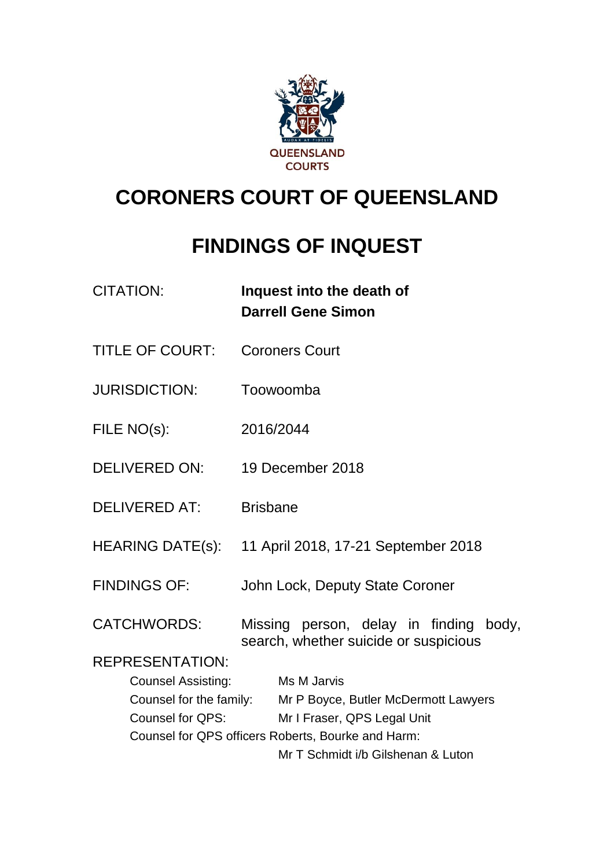

# **CORONERS COURT OF QUEENSLAND**

# **FINDINGS OF INQUEST**

| <b>CITATION:</b>                                   | Inquest into the death of<br><b>Darrell Gene Simon</b>                          |  |
|----------------------------------------------------|---------------------------------------------------------------------------------|--|
| <b>TITLE OF COURT:</b>                             | <b>Coroners Court</b>                                                           |  |
| <b>JURISDICTION:</b>                               | Toowoomba                                                                       |  |
| FILE NO(s):                                        | 2016/2044                                                                       |  |
| DELIVERED ON:                                      | 19 December 2018                                                                |  |
| <b>DELIVERED AT:</b>                               | <b>Brisbane</b>                                                                 |  |
|                                                    | HEARING DATE(s): 11 April 2018, 17-21 September 2018                            |  |
| <b>FINDINGS OF:</b>                                | John Lock, Deputy State Coroner                                                 |  |
| <b>CATCHWORDS:</b><br><b>REPRESENTATION:</b>       | Missing person, delay in finding body,<br>search, whether suicide or suspicious |  |
|                                                    | Ms M Jarvis                                                                     |  |
| <b>Counsel Assisting:</b>                          | Counsel for the family: Mr P Boyce, Butler McDermott Lawyers                    |  |
| Counsel for QPS:                                   | Mr I Fraser, QPS Legal Unit                                                     |  |
| Counsel for QPS officers Roberts, Bourke and Harm: |                                                                                 |  |
|                                                    | Mr T Schmidt i/b Gilshenan & Luton                                              |  |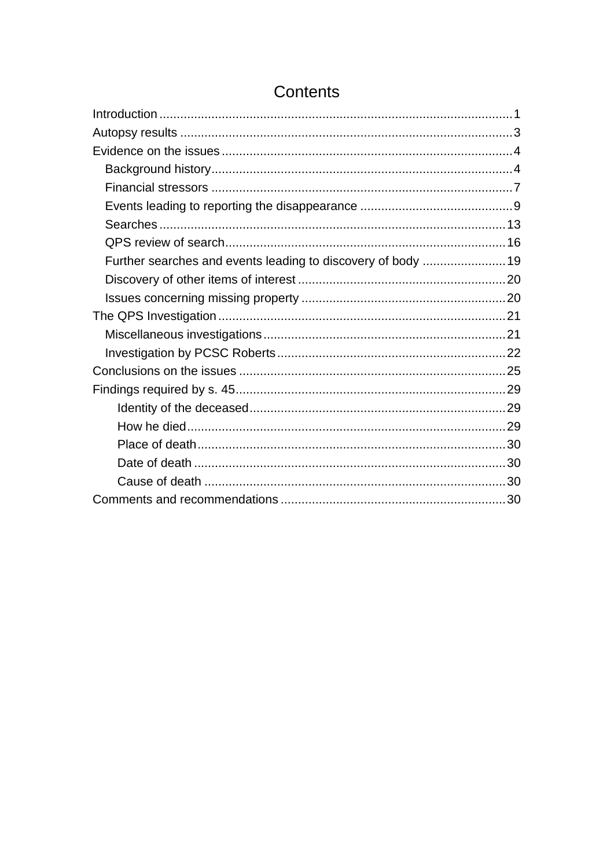| Further searches and events leading to discovery of body  19 |  |
|--------------------------------------------------------------|--|
|                                                              |  |
|                                                              |  |
|                                                              |  |
|                                                              |  |
|                                                              |  |
|                                                              |  |
|                                                              |  |
|                                                              |  |
|                                                              |  |
|                                                              |  |
|                                                              |  |
|                                                              |  |
|                                                              |  |

## Contents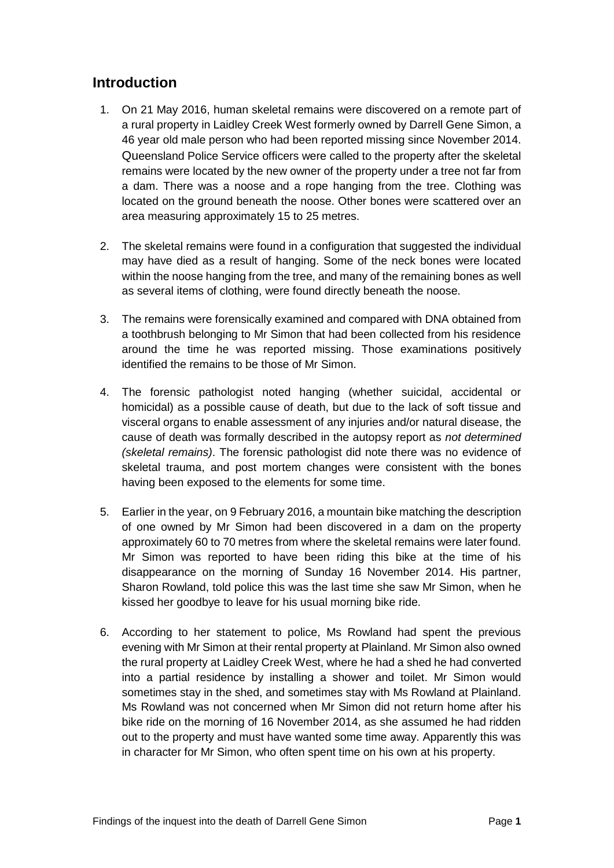## <span id="page-2-0"></span>**Introduction**

- 1. On 21 May 2016, human skeletal remains were discovered on a remote part of a rural property in Laidley Creek West formerly owned by Darrell Gene Simon, a 46 year old male person who had been reported missing since November 2014. Queensland Police Service officers were called to the property after the skeletal remains were located by the new owner of the property under a tree not far from a dam. There was a noose and a rope hanging from the tree. Clothing was located on the ground beneath the noose. Other bones were scattered over an area measuring approximately 15 to 25 metres.
- 2. The skeletal remains were found in a configuration that suggested the individual may have died as a result of hanging. Some of the neck bones were located within the noose hanging from the tree, and many of the remaining bones as well as several items of clothing, were found directly beneath the noose.
- 3. The remains were forensically examined and compared with DNA obtained from a toothbrush belonging to Mr Simon that had been collected from his residence around the time he was reported missing. Those examinations positively identified the remains to be those of Mr Simon.
- 4. The forensic pathologist noted hanging (whether suicidal, accidental or homicidal) as a possible cause of death, but due to the lack of soft tissue and visceral organs to enable assessment of any injuries and/or natural disease, the cause of death was formally described in the autopsy report as *not determined (skeletal remains)*. The forensic pathologist did note there was no evidence of skeletal trauma, and post mortem changes were consistent with the bones having been exposed to the elements for some time.
- 5. Earlier in the year, on 9 February 2016, a mountain bike matching the description of one owned by Mr Simon had been discovered in a dam on the property approximately 60 to 70 metres from where the skeletal remains were later found. Mr Simon was reported to have been riding this bike at the time of his disappearance on the morning of Sunday 16 November 2014. His partner, Sharon Rowland, told police this was the last time she saw Mr Simon, when he kissed her goodbye to leave for his usual morning bike ride.
- 6. According to her statement to police, Ms Rowland had spent the previous evening with Mr Simon at their rental property at Plainland. Mr Simon also owned the rural property at Laidley Creek West, where he had a shed he had converted into a partial residence by installing a shower and toilet. Mr Simon would sometimes stay in the shed, and sometimes stay with Ms Rowland at Plainland. Ms Rowland was not concerned when Mr Simon did not return home after his bike ride on the morning of 16 November 2014, as she assumed he had ridden out to the property and must have wanted some time away. Apparently this was in character for Mr Simon, who often spent time on his own at his property.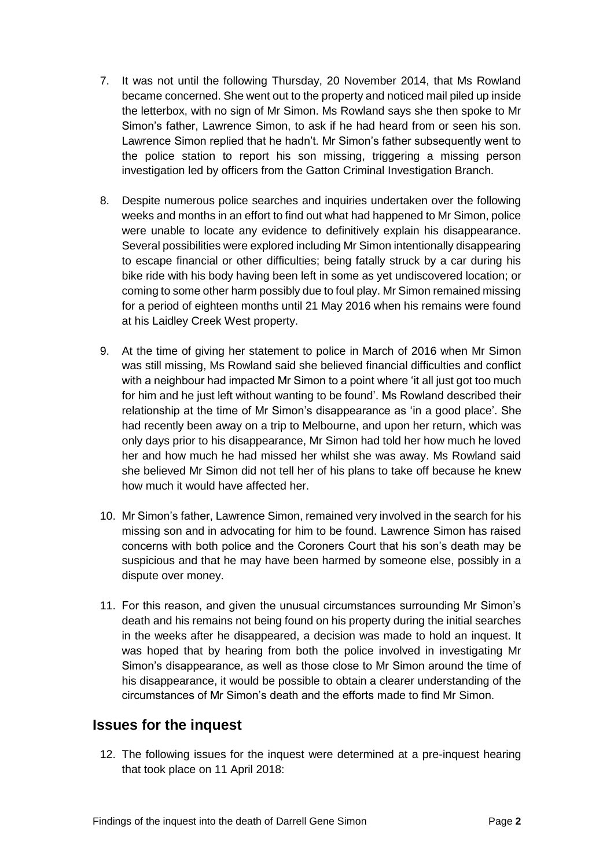- 7. It was not until the following Thursday, 20 November 2014, that Ms Rowland became concerned. She went out to the property and noticed mail piled up inside the letterbox, with no sign of Mr Simon. Ms Rowland says she then spoke to Mr Simon's father, Lawrence Simon, to ask if he had heard from or seen his son. Lawrence Simon replied that he hadn't. Mr Simon's father subsequently went to the police station to report his son missing, triggering a missing person investigation led by officers from the Gatton Criminal Investigation Branch.
- 8. Despite numerous police searches and inquiries undertaken over the following weeks and months in an effort to find out what had happened to Mr Simon, police were unable to locate any evidence to definitively explain his disappearance. Several possibilities were explored including Mr Simon intentionally disappearing to escape financial or other difficulties; being fatally struck by a car during his bike ride with his body having been left in some as yet undiscovered location; or coming to some other harm possibly due to foul play. Mr Simon remained missing for a period of eighteen months until 21 May 2016 when his remains were found at his Laidley Creek West property.
- 9. At the time of giving her statement to police in March of 2016 when Mr Simon was still missing, Ms Rowland said she believed financial difficulties and conflict with a neighbour had impacted Mr Simon to a point where 'it all just got too much for him and he just left without wanting to be found'. Ms Rowland described their relationship at the time of Mr Simon's disappearance as 'in a good place'. She had recently been away on a trip to Melbourne, and upon her return, which was only days prior to his disappearance, Mr Simon had told her how much he loved her and how much he had missed her whilst she was away. Ms Rowland said she believed Mr Simon did not tell her of his plans to take off because he knew how much it would have affected her.
- 10. Mr Simon's father, Lawrence Simon, remained very involved in the search for his missing son and in advocating for him to be found. Lawrence Simon has raised concerns with both police and the Coroners Court that his son's death may be suspicious and that he may have been harmed by someone else, possibly in a dispute over money.
- 11. For this reason, and given the unusual circumstances surrounding Mr Simon's death and his remains not being found on his property during the initial searches in the weeks after he disappeared, a decision was made to hold an inquest. It was hoped that by hearing from both the police involved in investigating Mr Simon's disappearance, as well as those close to Mr Simon around the time of his disappearance, it would be possible to obtain a clearer understanding of the circumstances of Mr Simon's death and the efforts made to find Mr Simon.

## **Issues for the inquest**

12. The following issues for the inquest were determined at a pre-inquest hearing that took place on 11 April 2018: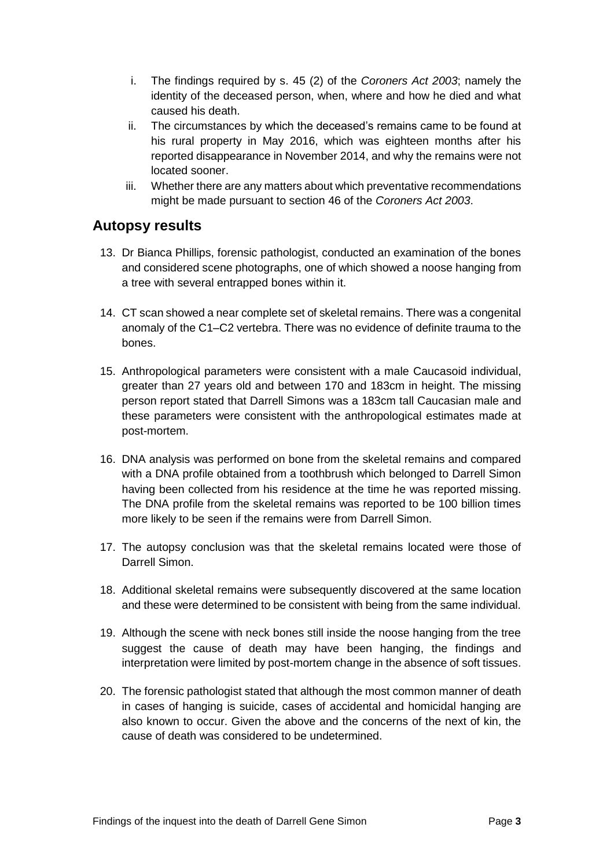- i. The findings required by s. 45 (2) of the *Coroners Act 2003*; namely the identity of the deceased person, when, where and how he died and what caused his death.
- ii. The circumstances by which the deceased's remains came to be found at his rural property in May 2016, which was eighteen months after his reported disappearance in November 2014, and why the remains were not located sooner.
- iii. Whether there are any matters about which preventative recommendations might be made pursuant to section 46 of the *Coroners Act 2003*.

## <span id="page-4-0"></span>**Autopsy results**

- 13. Dr Bianca Phillips, forensic pathologist, conducted an examination of the bones and considered scene photographs, one of which showed a noose hanging from a tree with several entrapped bones within it.
- 14. CT scan showed a near complete set of skeletal remains. There was a congenital anomaly of the C1–C2 vertebra. There was no evidence of definite trauma to the bones.
- 15. Anthropological parameters were consistent with a male Caucasoid individual, greater than 27 years old and between 170 and 183cm in height. The missing person report stated that Darrell Simons was a 183cm tall Caucasian male and these parameters were consistent with the anthropological estimates made at post-mortem.
- 16. DNA analysis was performed on bone from the skeletal remains and compared with a DNA profile obtained from a toothbrush which belonged to Darrell Simon having been collected from his residence at the time he was reported missing. The DNA profile from the skeletal remains was reported to be 100 billion times more likely to be seen if the remains were from Darrell Simon.
- 17. The autopsy conclusion was that the skeletal remains located were those of Darrell Simon.
- 18. Additional skeletal remains were subsequently discovered at the same location and these were determined to be consistent with being from the same individual.
- 19. Although the scene with neck bones still inside the noose hanging from the tree suggest the cause of death may have been hanging, the findings and interpretation were limited by post-mortem change in the absence of soft tissues.
- 20. The forensic pathologist stated that although the most common manner of death in cases of hanging is suicide, cases of accidental and homicidal hanging are also known to occur. Given the above and the concerns of the next of kin, the cause of death was considered to be undetermined.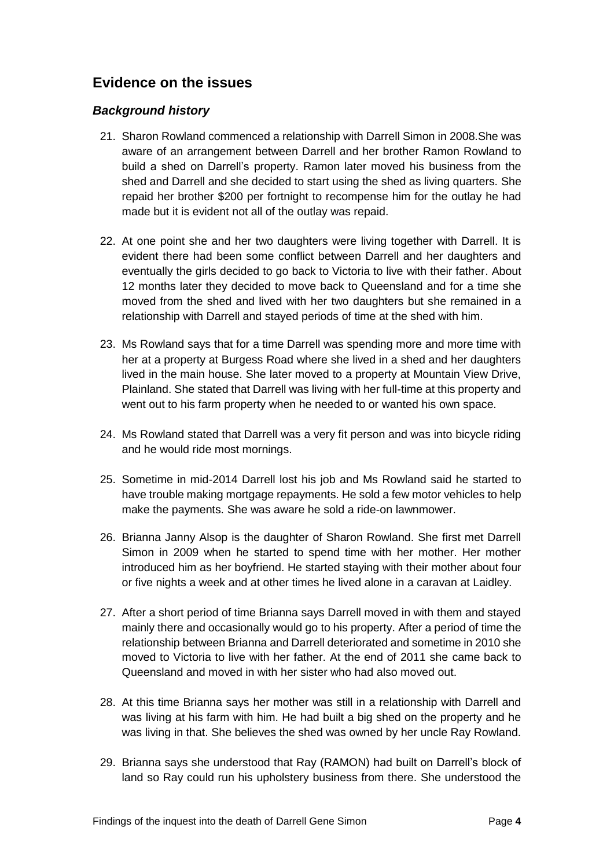## <span id="page-5-0"></span>**Evidence on the issues**

#### <span id="page-5-1"></span>*Background history*

- 21. Sharon Rowland commenced a relationship with Darrell Simon in 2008.She was aware of an arrangement between Darrell and her brother Ramon Rowland to build a shed on Darrell's property. Ramon later moved his business from the shed and Darrell and she decided to start using the shed as living quarters. She repaid her brother \$200 per fortnight to recompense him for the outlay he had made but it is evident not all of the outlay was repaid.
- 22. At one point she and her two daughters were living together with Darrell. It is evident there had been some conflict between Darrell and her daughters and eventually the girls decided to go back to Victoria to live with their father. About 12 months later they decided to move back to Queensland and for a time she moved from the shed and lived with her two daughters but she remained in a relationship with Darrell and stayed periods of time at the shed with him.
- 23. Ms Rowland says that for a time Darrell was spending more and more time with her at a property at Burgess Road where she lived in a shed and her daughters lived in the main house. She later moved to a property at Mountain View Drive, Plainland. She stated that Darrell was living with her full-time at this property and went out to his farm property when he needed to or wanted his own space.
- 24. Ms Rowland stated that Darrell was a very fit person and was into bicycle riding and he would ride most mornings.
- 25. Sometime in mid-2014 Darrell lost his job and Ms Rowland said he started to have trouble making mortgage repayments. He sold a few motor vehicles to help make the payments. She was aware he sold a ride-on lawnmower.
- 26. Brianna Janny Alsop is the daughter of Sharon Rowland. She first met Darrell Simon in 2009 when he started to spend time with her mother. Her mother introduced him as her boyfriend. He started staying with their mother about four or five nights a week and at other times he lived alone in a caravan at Laidley.
- 27. After a short period of time Brianna says Darrell moved in with them and stayed mainly there and occasionally would go to his property. After a period of time the relationship between Brianna and Darrell deteriorated and sometime in 2010 she moved to Victoria to live with her father. At the end of 2011 she came back to Queensland and moved in with her sister who had also moved out.
- 28. At this time Brianna says her mother was still in a relationship with Darrell and was living at his farm with him. He had built a big shed on the property and he was living in that. She believes the shed was owned by her uncle Ray Rowland.
- 29. Brianna says she understood that Ray (RAMON) had built on Darrell's block of land so Ray could run his upholstery business from there. She understood the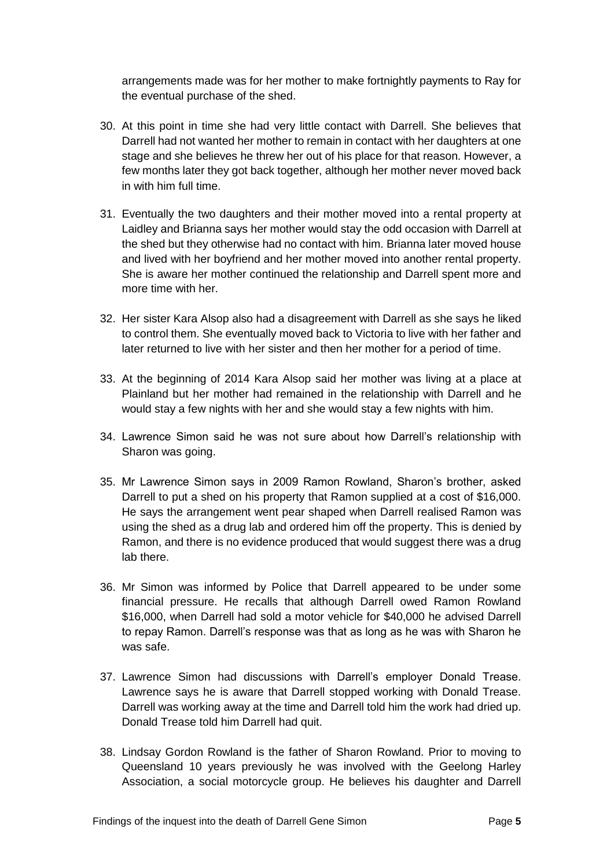arrangements made was for her mother to make fortnightly payments to Ray for the eventual purchase of the shed.

- 30. At this point in time she had very little contact with Darrell. She believes that Darrell had not wanted her mother to remain in contact with her daughters at one stage and she believes he threw her out of his place for that reason. However, a few months later they got back together, although her mother never moved back in with him full time.
- 31. Eventually the two daughters and their mother moved into a rental property at Laidley and Brianna says her mother would stay the odd occasion with Darrell at the shed but they otherwise had no contact with him. Brianna later moved house and lived with her boyfriend and her mother moved into another rental property. She is aware her mother continued the relationship and Darrell spent more and more time with her.
- 32. Her sister Kara Alsop also had a disagreement with Darrell as she says he liked to control them. She eventually moved back to Victoria to live with her father and later returned to live with her sister and then her mother for a period of time.
- 33. At the beginning of 2014 Kara Alsop said her mother was living at a place at Plainland but her mother had remained in the relationship with Darrell and he would stay a few nights with her and she would stay a few nights with him.
- 34. Lawrence Simon said he was not sure about how Darrell's relationship with Sharon was going.
- 35. Mr Lawrence Simon says in 2009 Ramon Rowland, Sharon's brother, asked Darrell to put a shed on his property that Ramon supplied at a cost of \$16,000. He says the arrangement went pear shaped when Darrell realised Ramon was using the shed as a drug lab and ordered him off the property. This is denied by Ramon, and there is no evidence produced that would suggest there was a drug lab there.
- 36. Mr Simon was informed by Police that Darrell appeared to be under some financial pressure. He recalls that although Darrell owed Ramon Rowland \$16,000, when Darrell had sold a motor vehicle for \$40,000 he advised Darrell to repay Ramon. Darrell's response was that as long as he was with Sharon he was safe.
- 37. Lawrence Simon had discussions with Darrell's employer Donald Trease. Lawrence says he is aware that Darrell stopped working with Donald Trease. Darrell was working away at the time and Darrell told him the work had dried up. Donald Trease told him Darrell had quit.
- 38. Lindsay Gordon Rowland is the father of Sharon Rowland. Prior to moving to Queensland 10 years previously he was involved with the Geelong Harley Association, a social motorcycle group. He believes his daughter and Darrell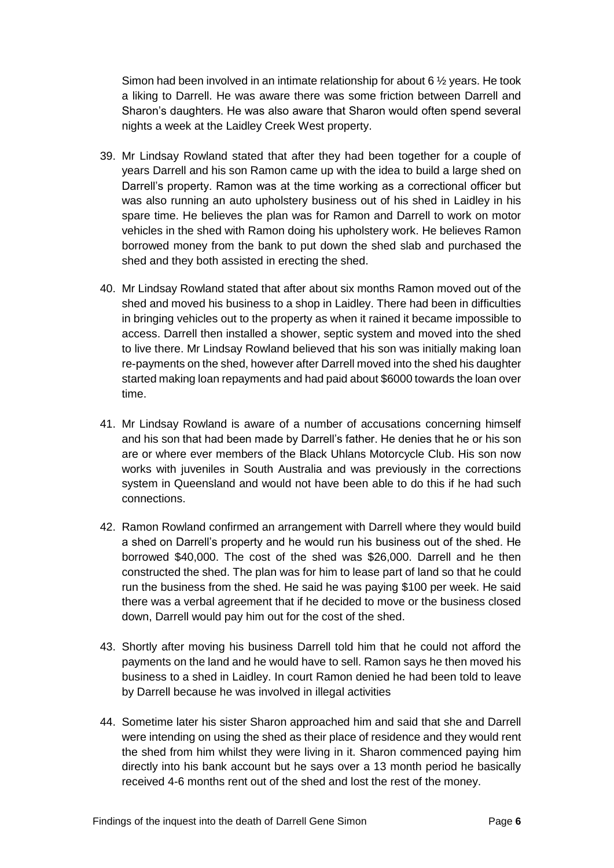Simon had been involved in an intimate relationship for about 6 ½ years. He took a liking to Darrell. He was aware there was some friction between Darrell and Sharon's daughters. He was also aware that Sharon would often spend several nights a week at the Laidley Creek West property.

- 39. Mr Lindsay Rowland stated that after they had been together for a couple of years Darrell and his son Ramon came up with the idea to build a large shed on Darrell's property. Ramon was at the time working as a correctional officer but was also running an auto upholstery business out of his shed in Laidley in his spare time. He believes the plan was for Ramon and Darrell to work on motor vehicles in the shed with Ramon doing his upholstery work. He believes Ramon borrowed money from the bank to put down the shed slab and purchased the shed and they both assisted in erecting the shed.
- 40. Mr Lindsay Rowland stated that after about six months Ramon moved out of the shed and moved his business to a shop in Laidley. There had been in difficulties in bringing vehicles out to the property as when it rained it became impossible to access. Darrell then installed a shower, septic system and moved into the shed to live there. Mr Lindsay Rowland believed that his son was initially making loan re-payments on the shed, however after Darrell moved into the shed his daughter started making loan repayments and had paid about \$6000 towards the loan over time.
- 41. Mr Lindsay Rowland is aware of a number of accusations concerning himself and his son that had been made by Darrell's father. He denies that he or his son are or where ever members of the Black Uhlans Motorcycle Club. His son now works with juveniles in South Australia and was previously in the corrections system in Queensland and would not have been able to do this if he had such connections.
- 42. Ramon Rowland confirmed an arrangement with Darrell where they would build a shed on Darrell's property and he would run his business out of the shed. He borrowed \$40,000. The cost of the shed was \$26,000. Darrell and he then constructed the shed. The plan was for him to lease part of land so that he could run the business from the shed. He said he was paying \$100 per week. He said there was a verbal agreement that if he decided to move or the business closed down, Darrell would pay him out for the cost of the shed.
- 43. Shortly after moving his business Darrell told him that he could not afford the payments on the land and he would have to sell. Ramon says he then moved his business to a shed in Laidley. In court Ramon denied he had been told to leave by Darrell because he was involved in illegal activities
- 44. Sometime later his sister Sharon approached him and said that she and Darrell were intending on using the shed as their place of residence and they would rent the shed from him whilst they were living in it. Sharon commenced paying him directly into his bank account but he says over a 13 month period he basically received 4-6 months rent out of the shed and lost the rest of the money.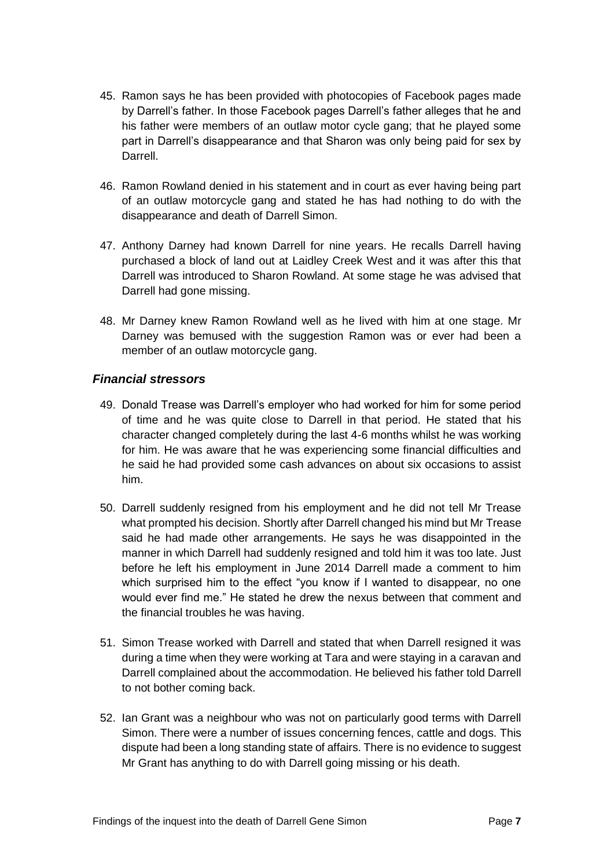- 45. Ramon says he has been provided with photocopies of Facebook pages made by Darrell's father. In those Facebook pages Darrell's father alleges that he and his father were members of an outlaw motor cycle gang; that he played some part in Darrell's disappearance and that Sharon was only being paid for sex by Darrell.
- 46. Ramon Rowland denied in his statement and in court as ever having being part of an outlaw motorcycle gang and stated he has had nothing to do with the disappearance and death of Darrell Simon.
- 47. Anthony Darney had known Darrell for nine years. He recalls Darrell having purchased a block of land out at Laidley Creek West and it was after this that Darrell was introduced to Sharon Rowland. At some stage he was advised that Darrell had gone missing.
- 48. Mr Darney knew Ramon Rowland well as he lived with him at one stage. Mr Darney was bemused with the suggestion Ramon was or ever had been a member of an outlaw motorcycle gang.

#### <span id="page-8-0"></span>*Financial stressors*

- 49. Donald Trease was Darrell's employer who had worked for him for some period of time and he was quite close to Darrell in that period. He stated that his character changed completely during the last 4-6 months whilst he was working for him. He was aware that he was experiencing some financial difficulties and he said he had provided some cash advances on about six occasions to assist him.
- 50. Darrell suddenly resigned from his employment and he did not tell Mr Trease what prompted his decision. Shortly after Darrell changed his mind but Mr Trease said he had made other arrangements. He says he was disappointed in the manner in which Darrell had suddenly resigned and told him it was too late. Just before he left his employment in June 2014 Darrell made a comment to him which surprised him to the effect "you know if I wanted to disappear, no one would ever find me." He stated he drew the nexus between that comment and the financial troubles he was having.
- 51. Simon Trease worked with Darrell and stated that when Darrell resigned it was during a time when they were working at Tara and were staying in a caravan and Darrell complained about the accommodation. He believed his father told Darrell to not bother coming back.
- 52. Ian Grant was a neighbour who was not on particularly good terms with Darrell Simon. There were a number of issues concerning fences, cattle and dogs. This dispute had been a long standing state of affairs. There is no evidence to suggest Mr Grant has anything to do with Darrell going missing or his death.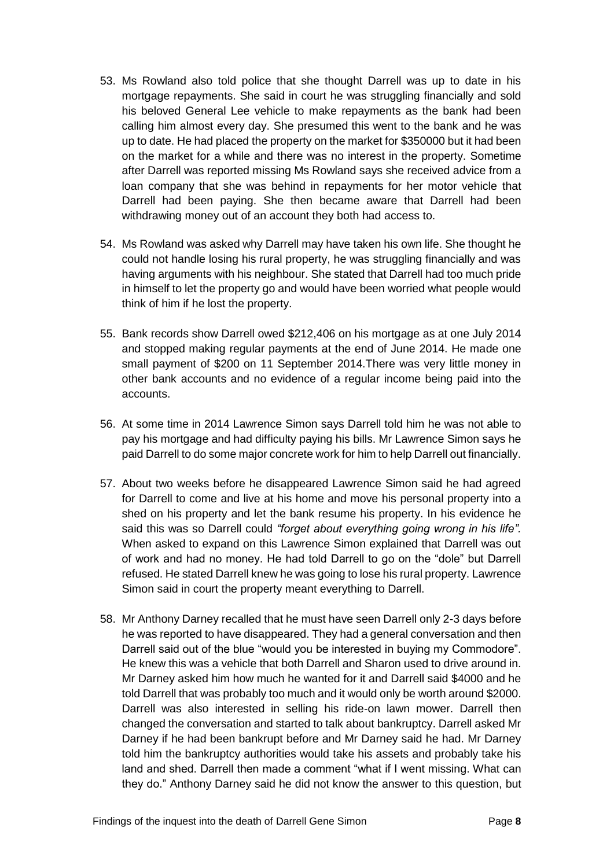- 53. Ms Rowland also told police that she thought Darrell was up to date in his mortgage repayments. She said in court he was struggling financially and sold his beloved General Lee vehicle to make repayments as the bank had been calling him almost every day. She presumed this went to the bank and he was up to date. He had placed the property on the market for \$350000 but it had been on the market for a while and there was no interest in the property. Sometime after Darrell was reported missing Ms Rowland says she received advice from a loan company that she was behind in repayments for her motor vehicle that Darrell had been paying. She then became aware that Darrell had been withdrawing money out of an account they both had access to.
- 54. Ms Rowland was asked why Darrell may have taken his own life. She thought he could not handle losing his rural property, he was struggling financially and was having arguments with his neighbour. She stated that Darrell had too much pride in himself to let the property go and would have been worried what people would think of him if he lost the property.
- 55. Bank records show Darrell owed \$212,406 on his mortgage as at one July 2014 and stopped making regular payments at the end of June 2014. He made one small payment of \$200 on 11 September 2014.There was very little money in other bank accounts and no evidence of a regular income being paid into the accounts.
- 56. At some time in 2014 Lawrence Simon says Darrell told him he was not able to pay his mortgage and had difficulty paying his bills. Mr Lawrence Simon says he paid Darrell to do some major concrete work for him to help Darrell out financially.
- 57. About two weeks before he disappeared Lawrence Simon said he had agreed for Darrell to come and live at his home and move his personal property into a shed on his property and let the bank resume his property. In his evidence he said this was so Darrell could *"forget about everything going wrong in his life".* When asked to expand on this Lawrence Simon explained that Darrell was out of work and had no money. He had told Darrell to go on the "dole" but Darrell refused. He stated Darrell knew he was going to lose his rural property. Lawrence Simon said in court the property meant everything to Darrell.
- 58. Mr Anthony Darney recalled that he must have seen Darrell only 2-3 days before he was reported to have disappeared. They had a general conversation and then Darrell said out of the blue "would you be interested in buying my Commodore". He knew this was a vehicle that both Darrell and Sharon used to drive around in. Mr Darney asked him how much he wanted for it and Darrell said \$4000 and he told Darrell that was probably too much and it would only be worth around \$2000. Darrell was also interested in selling his ride-on lawn mower. Darrell then changed the conversation and started to talk about bankruptcy. Darrell asked Mr Darney if he had been bankrupt before and Mr Darney said he had. Mr Darney told him the bankruptcy authorities would take his assets and probably take his land and shed. Darrell then made a comment "what if I went missing. What can they do." Anthony Darney said he did not know the answer to this question, but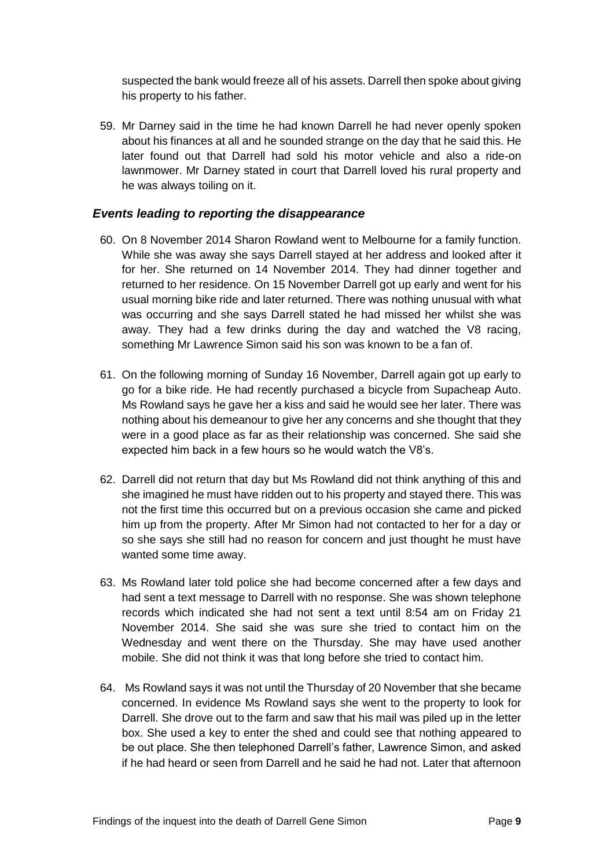suspected the bank would freeze all of his assets. Darrell then spoke about giving his property to his father.

59. Mr Darney said in the time he had known Darrell he had never openly spoken about his finances at all and he sounded strange on the day that he said this. He later found out that Darrell had sold his motor vehicle and also a ride-on lawnmower. Mr Darney stated in court that Darrell loved his rural property and he was always toiling on it.

#### <span id="page-10-0"></span>*Events leading to reporting the disappearance*

- 60. On 8 November 2014 Sharon Rowland went to Melbourne for a family function. While she was away she says Darrell stayed at her address and looked after it for her. She returned on 14 November 2014. They had dinner together and returned to her residence. On 15 November Darrell got up early and went for his usual morning bike ride and later returned. There was nothing unusual with what was occurring and she says Darrell stated he had missed her whilst she was away. They had a few drinks during the day and watched the V8 racing, something Mr Lawrence Simon said his son was known to be a fan of.
- 61. On the following morning of Sunday 16 November, Darrell again got up early to go for a bike ride. He had recently purchased a bicycle from Supacheap Auto. Ms Rowland says he gave her a kiss and said he would see her later. There was nothing about his demeanour to give her any concerns and she thought that they were in a good place as far as their relationship was concerned. She said she expected him back in a few hours so he would watch the V8's.
- 62. Darrell did not return that day but Ms Rowland did not think anything of this and she imagined he must have ridden out to his property and stayed there. This was not the first time this occurred but on a previous occasion she came and picked him up from the property. After Mr Simon had not contacted to her for a day or so she says she still had no reason for concern and just thought he must have wanted some time away.
- 63. Ms Rowland later told police she had become concerned after a few days and had sent a text message to Darrell with no response. She was shown telephone records which indicated she had not sent a text until 8:54 am on Friday 21 November 2014. She said she was sure she tried to contact him on the Wednesday and went there on the Thursday. She may have used another mobile. She did not think it was that long before she tried to contact him.
- 64. Ms Rowland says it was not until the Thursday of 20 November that she became concerned. In evidence Ms Rowland says she went to the property to look for Darrell. She drove out to the farm and saw that his mail was piled up in the letter box. She used a key to enter the shed and could see that nothing appeared to be out place. She then telephoned Darrell's father, Lawrence Simon, and asked if he had heard or seen from Darrell and he said he had not. Later that afternoon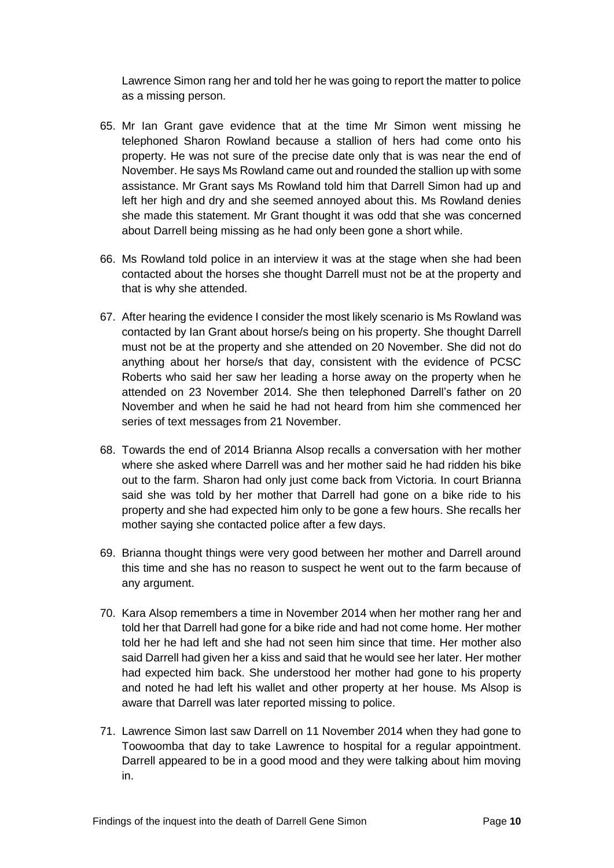Lawrence Simon rang her and told her he was going to report the matter to police as a missing person.

- 65. Mr Ian Grant gave evidence that at the time Mr Simon went missing he telephoned Sharon Rowland because a stallion of hers had come onto his property. He was not sure of the precise date only that is was near the end of November. He says Ms Rowland came out and rounded the stallion up with some assistance. Mr Grant says Ms Rowland told him that Darrell Simon had up and left her high and dry and she seemed annoyed about this. Ms Rowland denies she made this statement. Mr Grant thought it was odd that she was concerned about Darrell being missing as he had only been gone a short while.
- 66. Ms Rowland told police in an interview it was at the stage when she had been contacted about the horses she thought Darrell must not be at the property and that is why she attended.
- 67. After hearing the evidence I consider the most likely scenario is Ms Rowland was contacted by Ian Grant about horse/s being on his property. She thought Darrell must not be at the property and she attended on 20 November. She did not do anything about her horse/s that day, consistent with the evidence of PCSC Roberts who said her saw her leading a horse away on the property when he attended on 23 November 2014. She then telephoned Darrell's father on 20 November and when he said he had not heard from him she commenced her series of text messages from 21 November.
- 68. Towards the end of 2014 Brianna Alsop recalls a conversation with her mother where she asked where Darrell was and her mother said he had ridden his bike out to the farm. Sharon had only just come back from Victoria. In court Brianna said she was told by her mother that Darrell had gone on a bike ride to his property and she had expected him only to be gone a few hours. She recalls her mother saying she contacted police after a few days.
- 69. Brianna thought things were very good between her mother and Darrell around this time and she has no reason to suspect he went out to the farm because of any argument.
- 70. Kara Alsop remembers a time in November 2014 when her mother rang her and told her that Darrell had gone for a bike ride and had not come home. Her mother told her he had left and she had not seen him since that time. Her mother also said Darrell had given her a kiss and said that he would see her later. Her mother had expected him back. She understood her mother had gone to his property and noted he had left his wallet and other property at her house. Ms Alsop is aware that Darrell was later reported missing to police.
- 71. Lawrence Simon last saw Darrell on 11 November 2014 when they had gone to Toowoomba that day to take Lawrence to hospital for a regular appointment. Darrell appeared to be in a good mood and they were talking about him moving in.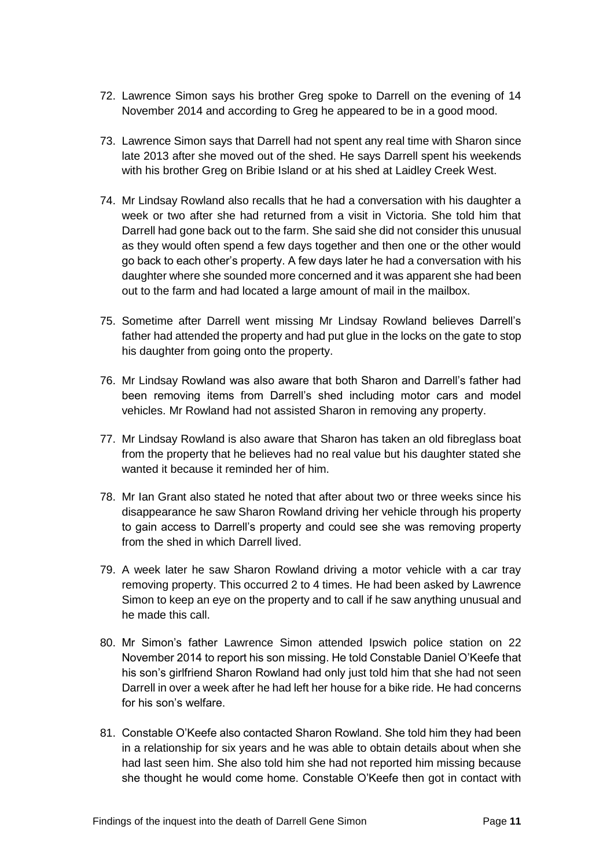- 72. Lawrence Simon says his brother Greg spoke to Darrell on the evening of 14 November 2014 and according to Greg he appeared to be in a good mood.
- 73. Lawrence Simon says that Darrell had not spent any real time with Sharon since late 2013 after she moved out of the shed. He says Darrell spent his weekends with his brother Greg on Bribie Island or at his shed at Laidley Creek West.
- 74. Mr Lindsay Rowland also recalls that he had a conversation with his daughter a week or two after she had returned from a visit in Victoria. She told him that Darrell had gone back out to the farm. She said she did not consider this unusual as they would often spend a few days together and then one or the other would go back to each other's property. A few days later he had a conversation with his daughter where she sounded more concerned and it was apparent she had been out to the farm and had located a large amount of mail in the mailbox.
- 75. Sometime after Darrell went missing Mr Lindsay Rowland believes Darrell's father had attended the property and had put glue in the locks on the gate to stop his daughter from going onto the property.
- 76. Mr Lindsay Rowland was also aware that both Sharon and Darrell's father had been removing items from Darrell's shed including motor cars and model vehicles. Mr Rowland had not assisted Sharon in removing any property.
- 77. Mr Lindsay Rowland is also aware that Sharon has taken an old fibreglass boat from the property that he believes had no real value but his daughter stated she wanted it because it reminded her of him.
- 78. Mr Ian Grant also stated he noted that after about two or three weeks since his disappearance he saw Sharon Rowland driving her vehicle through his property to gain access to Darrell's property and could see she was removing property from the shed in which Darrell lived.
- 79. A week later he saw Sharon Rowland driving a motor vehicle with a car tray removing property. This occurred 2 to 4 times. He had been asked by Lawrence Simon to keep an eye on the property and to call if he saw anything unusual and he made this call.
- 80. Mr Simon's father Lawrence Simon attended Ipswich police station on 22 November 2014 to report his son missing. He told Constable Daniel O'Keefe that his son's girlfriend Sharon Rowland had only just told him that she had not seen Darrell in over a week after he had left her house for a bike ride. He had concerns for his son's welfare.
- 81. Constable O'Keefe also contacted Sharon Rowland. She told him they had been in a relationship for six years and he was able to obtain details about when she had last seen him. She also told him she had not reported him missing because she thought he would come home. Constable O'Keefe then got in contact with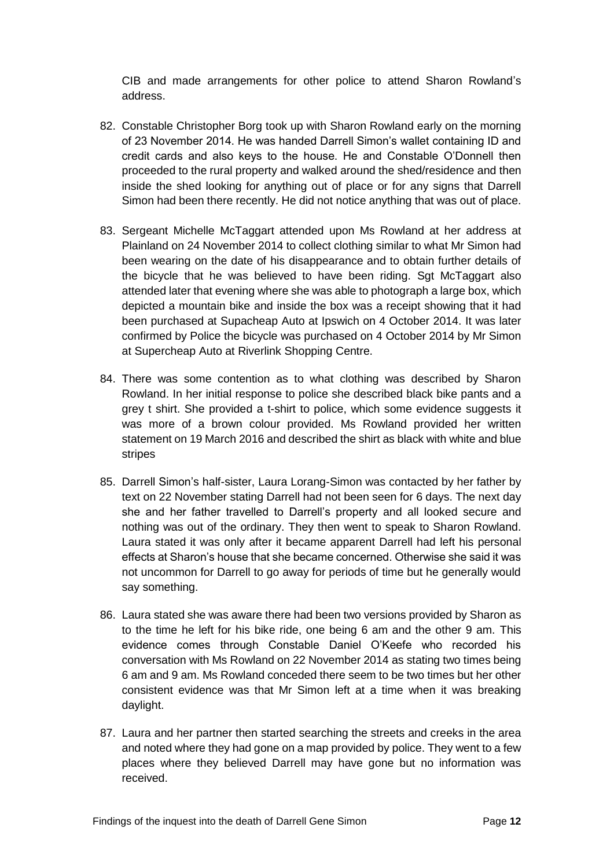CIB and made arrangements for other police to attend Sharon Rowland's address.

- 82. Constable Christopher Borg took up with Sharon Rowland early on the morning of 23 November 2014. He was handed Darrell Simon's wallet containing ID and credit cards and also keys to the house. He and Constable O'Donnell then proceeded to the rural property and walked around the shed/residence and then inside the shed looking for anything out of place or for any signs that Darrell Simon had been there recently. He did not notice anything that was out of place.
- 83. Sergeant Michelle McTaggart attended upon Ms Rowland at her address at Plainland on 24 November 2014 to collect clothing similar to what Mr Simon had been wearing on the date of his disappearance and to obtain further details of the bicycle that he was believed to have been riding. Sgt McTaggart also attended later that evening where she was able to photograph a large box, which depicted a mountain bike and inside the box was a receipt showing that it had been purchased at Supacheap Auto at Ipswich on 4 October 2014. It was later confirmed by Police the bicycle was purchased on 4 October 2014 by Mr Simon at Supercheap Auto at Riverlink Shopping Centre.
- 84. There was some contention as to what clothing was described by Sharon Rowland. In her initial response to police she described black bike pants and a grey t shirt. She provided a t-shirt to police, which some evidence suggests it was more of a brown colour provided. Ms Rowland provided her written statement on 19 March 2016 and described the shirt as black with white and blue stripes
- 85. Darrell Simon's half-sister, Laura Lorang-Simon was contacted by her father by text on 22 November stating Darrell had not been seen for 6 days. The next day she and her father travelled to Darrell's property and all looked secure and nothing was out of the ordinary. They then went to speak to Sharon Rowland. Laura stated it was only after it became apparent Darrell had left his personal effects at Sharon's house that she became concerned. Otherwise she said it was not uncommon for Darrell to go away for periods of time but he generally would say something.
- 86. Laura stated she was aware there had been two versions provided by Sharon as to the time he left for his bike ride, one being 6 am and the other 9 am. This evidence comes through Constable Daniel O'Keefe who recorded his conversation with Ms Rowland on 22 November 2014 as stating two times being 6 am and 9 am. Ms Rowland conceded there seem to be two times but her other consistent evidence was that Mr Simon left at a time when it was breaking daylight.
- 87. Laura and her partner then started searching the streets and creeks in the area and noted where they had gone on a map provided by police. They went to a few places where they believed Darrell may have gone but no information was received.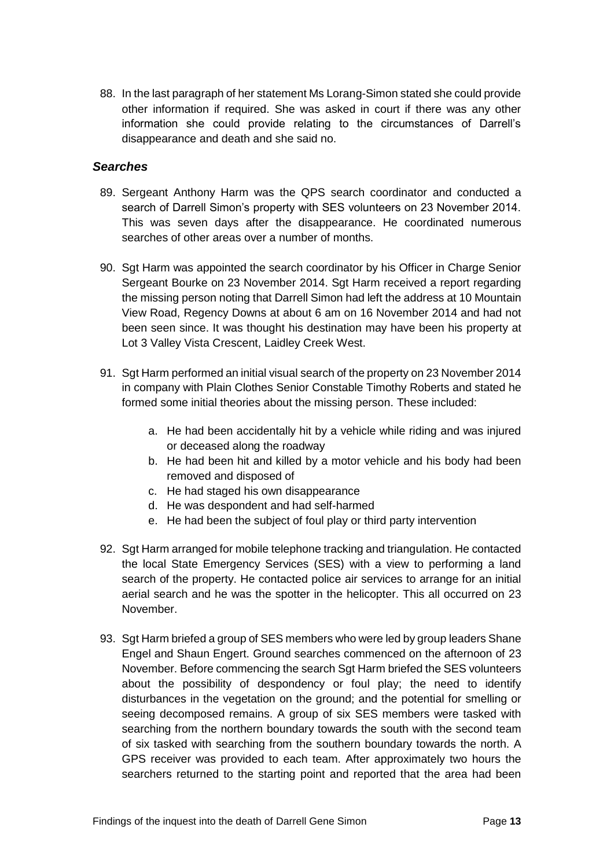88. In the last paragraph of her statement Ms Lorang-Simon stated she could provide other information if required. She was asked in court if there was any other information she could provide relating to the circumstances of Darrell's disappearance and death and she said no.

#### <span id="page-14-0"></span>*Searches*

- 89. Sergeant Anthony Harm was the QPS search coordinator and conducted a search of Darrell Simon's property with SES volunteers on 23 November 2014. This was seven days after the disappearance. He coordinated numerous searches of other areas over a number of months.
- 90. Sgt Harm was appointed the search coordinator by his Officer in Charge Senior Sergeant Bourke on 23 November 2014. Sgt Harm received a report regarding the missing person noting that Darrell Simon had left the address at 10 Mountain View Road, Regency Downs at about 6 am on 16 November 2014 and had not been seen since. It was thought his destination may have been his property at Lot 3 Valley Vista Crescent, Laidley Creek West.
- 91. Sgt Harm performed an initial visual search of the property on 23 November 2014 in company with Plain Clothes Senior Constable Timothy Roberts and stated he formed some initial theories about the missing person. These included:
	- a. He had been accidentally hit by a vehicle while riding and was injured or deceased along the roadway
	- b. He had been hit and killed by a motor vehicle and his body had been removed and disposed of
	- c. He had staged his own disappearance
	- d. He was despondent and had self-harmed
	- e. He had been the subject of foul play or third party intervention
- 92. Sgt Harm arranged for mobile telephone tracking and triangulation. He contacted the local State Emergency Services (SES) with a view to performing a land search of the property. He contacted police air services to arrange for an initial aerial search and he was the spotter in the helicopter. This all occurred on 23 November.
- 93. Sgt Harm briefed a group of SES members who were led by group leaders Shane Engel and Shaun Engert. Ground searches commenced on the afternoon of 23 November. Before commencing the search Sgt Harm briefed the SES volunteers about the possibility of despondency or foul play; the need to identify disturbances in the vegetation on the ground; and the potential for smelling or seeing decomposed remains. A group of six SES members were tasked with searching from the northern boundary towards the south with the second team of six tasked with searching from the southern boundary towards the north. A GPS receiver was provided to each team. After approximately two hours the searchers returned to the starting point and reported that the area had been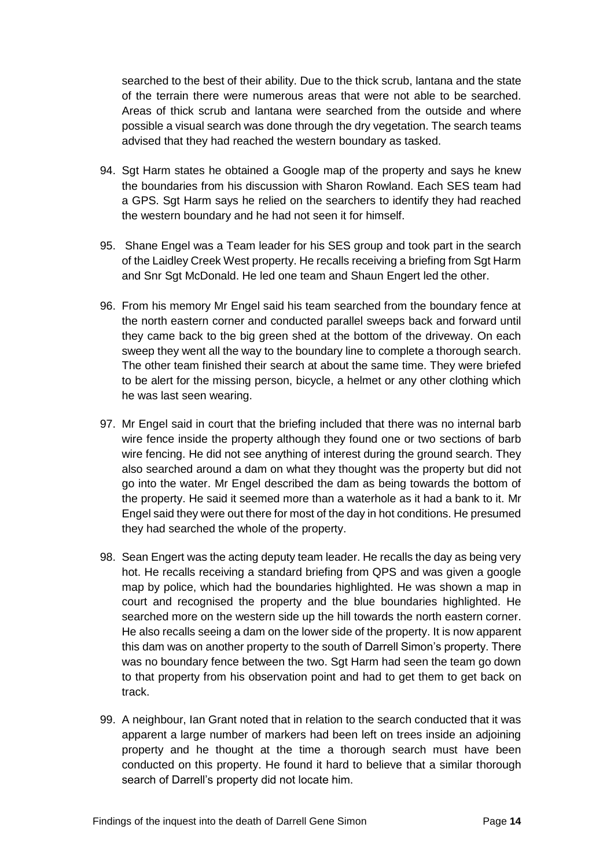searched to the best of their ability. Due to the thick scrub, lantana and the state of the terrain there were numerous areas that were not able to be searched. Areas of thick scrub and lantana were searched from the outside and where possible a visual search was done through the dry vegetation. The search teams advised that they had reached the western boundary as tasked.

- 94. Sgt Harm states he obtained a Google map of the property and says he knew the boundaries from his discussion with Sharon Rowland. Each SES team had a GPS. Sgt Harm says he relied on the searchers to identify they had reached the western boundary and he had not seen it for himself.
- 95. Shane Engel was a Team leader for his SES group and took part in the search of the Laidley Creek West property. He recalls receiving a briefing from Sgt Harm and Snr Sgt McDonald. He led one team and Shaun Engert led the other.
- 96. From his memory Mr Engel said his team searched from the boundary fence at the north eastern corner and conducted parallel sweeps back and forward until they came back to the big green shed at the bottom of the driveway. On each sweep they went all the way to the boundary line to complete a thorough search. The other team finished their search at about the same time. They were briefed to be alert for the missing person, bicycle, a helmet or any other clothing which he was last seen wearing.
- 97. Mr Engel said in court that the briefing included that there was no internal barb wire fence inside the property although they found one or two sections of barb wire fencing. He did not see anything of interest during the ground search. They also searched around a dam on what they thought was the property but did not go into the water. Mr Engel described the dam as being towards the bottom of the property. He said it seemed more than a waterhole as it had a bank to it. Mr Engel said they were out there for most of the day in hot conditions. He presumed they had searched the whole of the property.
- 98. Sean Engert was the acting deputy team leader. He recalls the day as being very hot. He recalls receiving a standard briefing from QPS and was given a google map by police, which had the boundaries highlighted. He was shown a map in court and recognised the property and the blue boundaries highlighted. He searched more on the western side up the hill towards the north eastern corner. He also recalls seeing a dam on the lower side of the property. It is now apparent this dam was on another property to the south of Darrell Simon's property. There was no boundary fence between the two. Sat Harm had seen the team go down to that property from his observation point and had to get them to get back on track.
- 99. A neighbour, Ian Grant noted that in relation to the search conducted that it was apparent a large number of markers had been left on trees inside an adjoining property and he thought at the time a thorough search must have been conducted on this property. He found it hard to believe that a similar thorough search of Darrell's property did not locate him.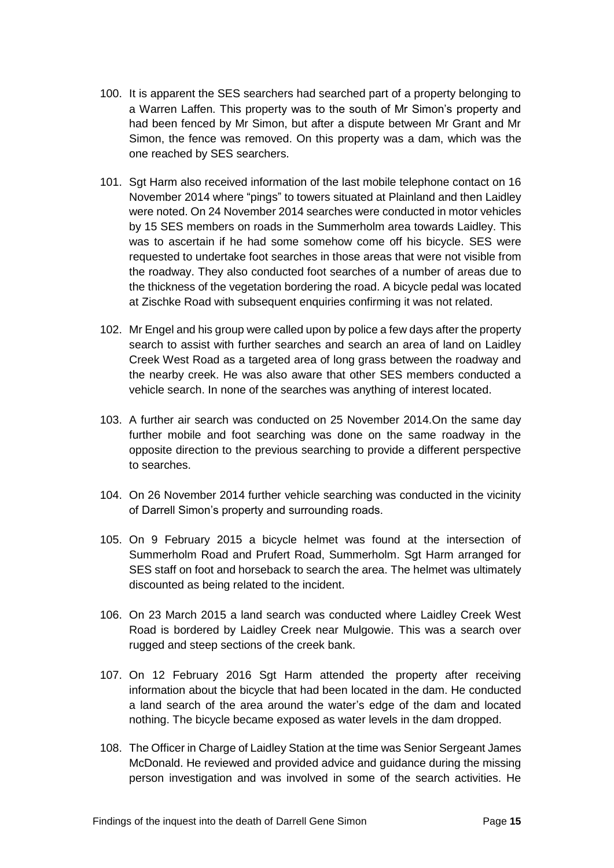- 100. It is apparent the SES searchers had searched part of a property belonging to a Warren Laffen. This property was to the south of Mr Simon's property and had been fenced by Mr Simon, but after a dispute between Mr Grant and Mr Simon, the fence was removed. On this property was a dam, which was the one reached by SES searchers.
- 101. Sgt Harm also received information of the last mobile telephone contact on 16 November 2014 where "pings" to towers situated at Plainland and then Laidley were noted. On 24 November 2014 searches were conducted in motor vehicles by 15 SES members on roads in the Summerholm area towards Laidley. This was to ascertain if he had some somehow come off his bicycle. SES were requested to undertake foot searches in those areas that were not visible from the roadway. They also conducted foot searches of a number of areas due to the thickness of the vegetation bordering the road. A bicycle pedal was located at Zischke Road with subsequent enquiries confirming it was not related.
- 102. Mr Engel and his group were called upon by police a few days after the property search to assist with further searches and search an area of land on Laidley Creek West Road as a targeted area of long grass between the roadway and the nearby creek. He was also aware that other SES members conducted a vehicle search. In none of the searches was anything of interest located.
- 103. A further air search was conducted on 25 November 2014.On the same day further mobile and foot searching was done on the same roadway in the opposite direction to the previous searching to provide a different perspective to searches.
- 104. On 26 November 2014 further vehicle searching was conducted in the vicinity of Darrell Simon's property and surrounding roads.
- 105. On 9 February 2015 a bicycle helmet was found at the intersection of Summerholm Road and Prufert Road, Summerholm. Sgt Harm arranged for SES staff on foot and horseback to search the area. The helmet was ultimately discounted as being related to the incident.
- 106. On 23 March 2015 a land search was conducted where Laidley Creek West Road is bordered by Laidley Creek near Mulgowie. This was a search over rugged and steep sections of the creek bank.
- 107. On 12 February 2016 Sgt Harm attended the property after receiving information about the bicycle that had been located in the dam. He conducted a land search of the area around the water's edge of the dam and located nothing. The bicycle became exposed as water levels in the dam dropped.
- 108. The Officer in Charge of Laidley Station at the time was Senior Sergeant James McDonald. He reviewed and provided advice and guidance during the missing person investigation and was involved in some of the search activities. He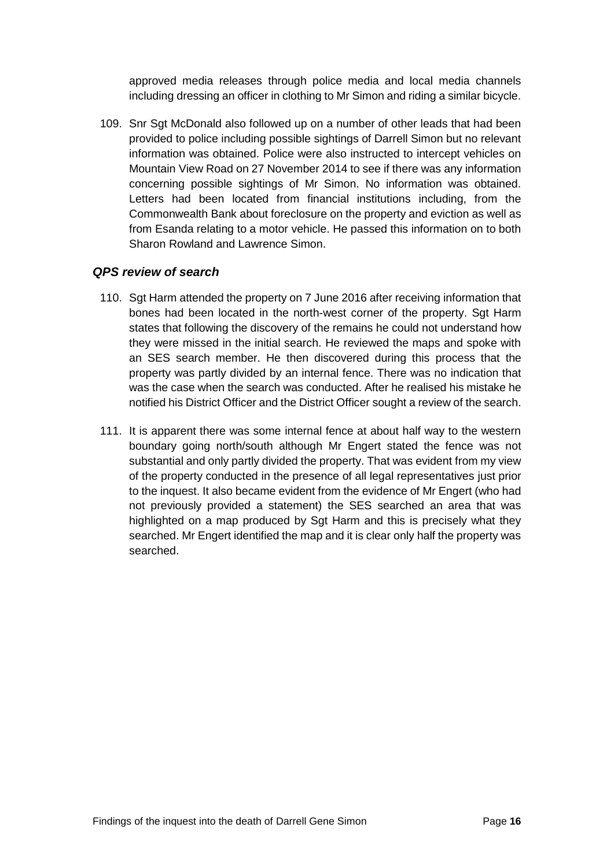approved media releases through police media and local media channels including dressing an officer in clothing to Mr Simon and riding a similar bicycle.

109. Snr Sgt McDonald also followed up on a number of other leads that had been provided to police including possible sightings of Darrell Simon but no relevant information was obtained. Police were also instructed to intercept vehicles on Mountain View Road on 27 November 2014 to see if there was any information concerning possible sightings of Mr Simon. No information was obtained. Letters had been located from financial institutions including, from the Commonwealth Bank about foreclosure on the property and eviction as well as from Esanda relating to a motor vehicle. He passed this information on to both Sharon Rowland and Lawrence Simon.

#### <span id="page-17-0"></span>*QPS review of search*

- 110. Sgt Harm attended the property on 7 June 2016 after receiving information that bones had been located in the north-west corner of the property. Sgt Harm states that following the discovery of the remains he could not understand how they were missed in the initial search. He reviewed the maps and spoke with an SES search member. He then discovered during this process that the property was partly divided by an internal fence. There was no indication that was the case when the search was conducted. After he realised his mistake he notified his District Officer and the District Officer sought a review of the search.
- 111. It is apparent there was some internal fence at about half way to the western boundary going north/south although Mr Engert stated the fence was not substantial and only partly divided the property. That was evident from my view of the property conducted in the presence of all legal representatives just prior to the inquest. It also became evident from the evidence of Mr Engert (who had not previously provided a statement) the SES searched an area that was highlighted on a map produced by Sgt Harm and this is precisely what they searched. Mr Engert identified the map and it is clear only half the property was searched.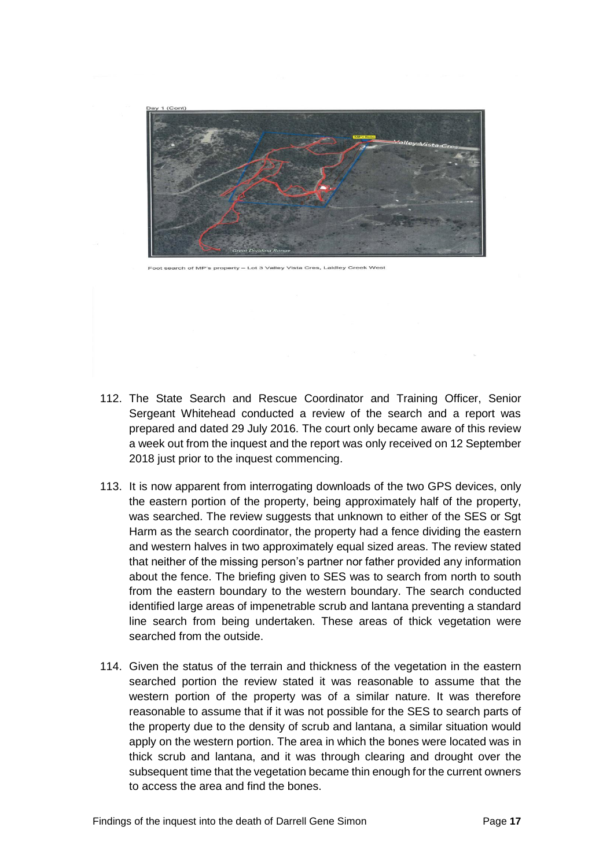

– Lot 3 Valley Vista Cres, Laidley Creek West

- 112. The State Search and Rescue Coordinator and Training Officer, Senior Sergeant Whitehead conducted a review of the search and a report was prepared and dated 29 July 2016. The court only became aware of this review a week out from the inquest and the report was only received on 12 September 2018 just prior to the inquest commencing.
- 113. It is now apparent from interrogating downloads of the two GPS devices, only the eastern portion of the property, being approximately half of the property, was searched. The review suggests that unknown to either of the SES or Sgt Harm as the search coordinator, the property had a fence dividing the eastern and western halves in two approximately equal sized areas. The review stated that neither of the missing person's partner nor father provided any information about the fence. The briefing given to SES was to search from north to south from the eastern boundary to the western boundary. The search conducted identified large areas of impenetrable scrub and lantana preventing a standard line search from being undertaken. These areas of thick vegetation were searched from the outside.
- 114. Given the status of the terrain and thickness of the vegetation in the eastern searched portion the review stated it was reasonable to assume that the western portion of the property was of a similar nature. It was therefore reasonable to assume that if it was not possible for the SES to search parts of the property due to the density of scrub and lantana, a similar situation would apply on the western portion. The area in which the bones were located was in thick scrub and lantana, and it was through clearing and drought over the subsequent time that the vegetation became thin enough for the current owners to access the area and find the bones.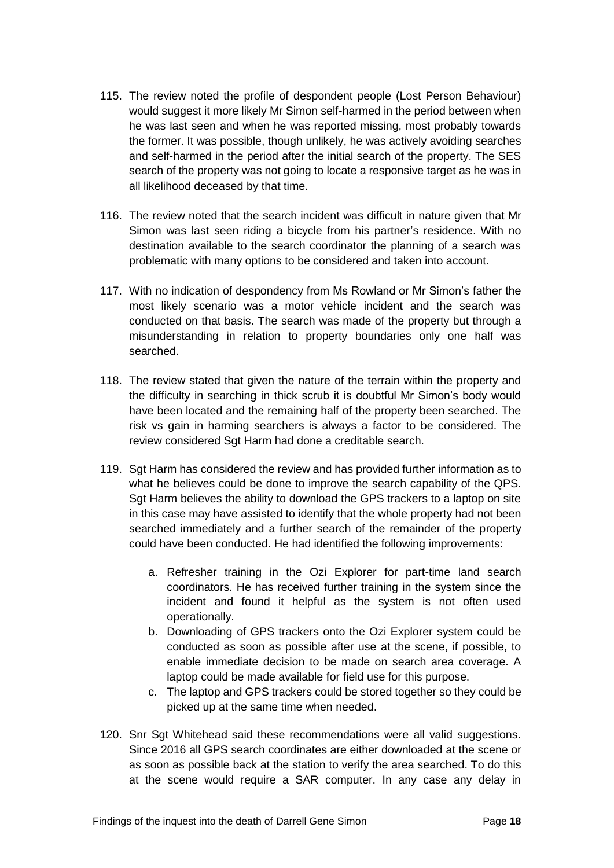- 115. The review noted the profile of despondent people (Lost Person Behaviour) would suggest it more likely Mr Simon self-harmed in the period between when he was last seen and when he was reported missing, most probably towards the former. It was possible, though unlikely, he was actively avoiding searches and self-harmed in the period after the initial search of the property. The SES search of the property was not going to locate a responsive target as he was in all likelihood deceased by that time.
- 116. The review noted that the search incident was difficult in nature given that Mr Simon was last seen riding a bicycle from his partner's residence. With no destination available to the search coordinator the planning of a search was problematic with many options to be considered and taken into account.
- 117. With no indication of despondency from Ms Rowland or Mr Simon's father the most likely scenario was a motor vehicle incident and the search was conducted on that basis. The search was made of the property but through a misunderstanding in relation to property boundaries only one half was searched.
- 118. The review stated that given the nature of the terrain within the property and the difficulty in searching in thick scrub it is doubtful Mr Simon's body would have been located and the remaining half of the property been searched. The risk vs gain in harming searchers is always a factor to be considered. The review considered Sgt Harm had done a creditable search.
- 119. Sgt Harm has considered the review and has provided further information as to what he believes could be done to improve the search capability of the QPS. Sgt Harm believes the ability to download the GPS trackers to a laptop on site in this case may have assisted to identify that the whole property had not been searched immediately and a further search of the remainder of the property could have been conducted. He had identified the following improvements:
	- a. Refresher training in the Ozi Explorer for part-time land search coordinators. He has received further training in the system since the incident and found it helpful as the system is not often used operationally.
	- b. Downloading of GPS trackers onto the Ozi Explorer system could be conducted as soon as possible after use at the scene, if possible, to enable immediate decision to be made on search area coverage. A laptop could be made available for field use for this purpose.
	- c. The laptop and GPS trackers could be stored together so they could be picked up at the same time when needed.
- 120. Snr Sgt Whitehead said these recommendations were all valid suggestions. Since 2016 all GPS search coordinates are either downloaded at the scene or as soon as possible back at the station to verify the area searched. To do this at the scene would require a SAR computer. In any case any delay in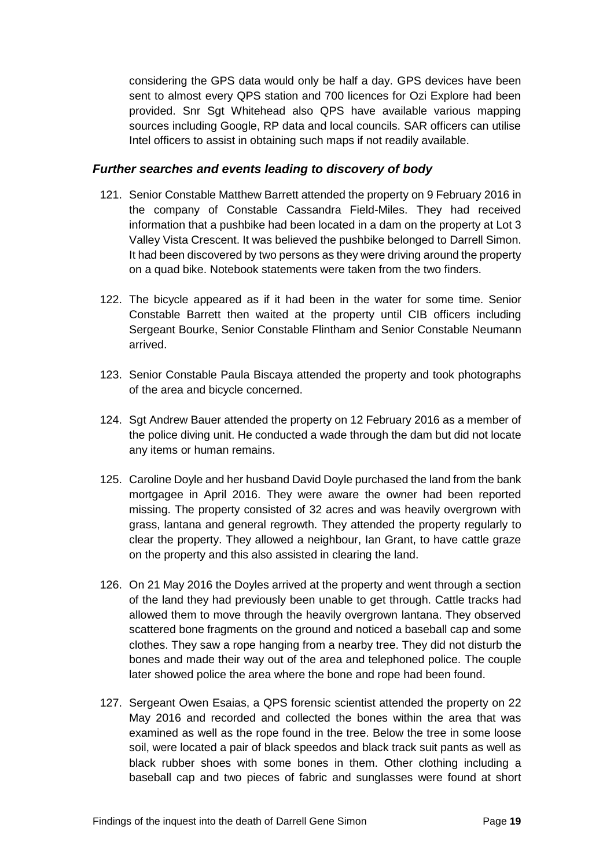considering the GPS data would only be half a day. GPS devices have been sent to almost every QPS station and 700 licences for Ozi Explore had been provided. Snr Sgt Whitehead also QPS have available various mapping sources including Google, RP data and local councils. SAR officers can utilise Intel officers to assist in obtaining such maps if not readily available.

#### <span id="page-20-0"></span>*Further searches and events leading to discovery of body*

- 121. Senior Constable Matthew Barrett attended the property on 9 February 2016 in the company of Constable Cassandra Field-Miles. They had received information that a pushbike had been located in a dam on the property at Lot 3 Valley Vista Crescent. It was believed the pushbike belonged to Darrell Simon. It had been discovered by two persons as they were driving around the property on a quad bike. Notebook statements were taken from the two finders.
- 122. The bicycle appeared as if it had been in the water for some time. Senior Constable Barrett then waited at the property until CIB officers including Sergeant Bourke, Senior Constable Flintham and Senior Constable Neumann arrived.
- 123. Senior Constable Paula Biscaya attended the property and took photographs of the area and bicycle concerned.
- 124. Sgt Andrew Bauer attended the property on 12 February 2016 as a member of the police diving unit. He conducted a wade through the dam but did not locate any items or human remains.
- 125. Caroline Doyle and her husband David Doyle purchased the land from the bank mortgagee in April 2016. They were aware the owner had been reported missing. The property consisted of 32 acres and was heavily overgrown with grass, lantana and general regrowth. They attended the property regularly to clear the property. They allowed a neighbour, Ian Grant, to have cattle graze on the property and this also assisted in clearing the land.
- 126. On 21 May 2016 the Doyles arrived at the property and went through a section of the land they had previously been unable to get through. Cattle tracks had allowed them to move through the heavily overgrown lantana. They observed scattered bone fragments on the ground and noticed a baseball cap and some clothes. They saw a rope hanging from a nearby tree. They did not disturb the bones and made their way out of the area and telephoned police. The couple later showed police the area where the bone and rope had been found.
- 127. Sergeant Owen Esaias, a QPS forensic scientist attended the property on 22 May 2016 and recorded and collected the bones within the area that was examined as well as the rope found in the tree. Below the tree in some loose soil, were located a pair of black speedos and black track suit pants as well as black rubber shoes with some bones in them. Other clothing including a baseball cap and two pieces of fabric and sunglasses were found at short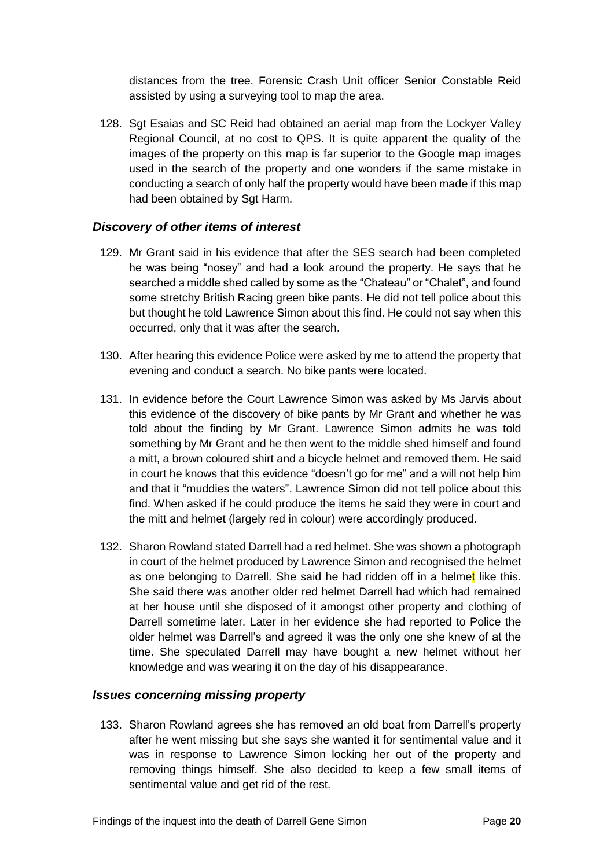distances from the tree. Forensic Crash Unit officer Senior Constable Reid assisted by using a surveying tool to map the area.

128. Sat Esaias and SC Reid had obtained an aerial map from the Lockyer Valley Regional Council, at no cost to QPS. It is quite apparent the quality of the images of the property on this map is far superior to the Google map images used in the search of the property and one wonders if the same mistake in conducting a search of only half the property would have been made if this map had been obtained by Sgt Harm.

#### <span id="page-21-0"></span>*Discovery of other items of interest*

- 129. Mr Grant said in his evidence that after the SES search had been completed he was being "nosey" and had a look around the property. He says that he searched a middle shed called by some as the "Chateau" or "Chalet", and found some stretchy British Racing green bike pants. He did not tell police about this but thought he told Lawrence Simon about this find. He could not say when this occurred, only that it was after the search.
- 130. After hearing this evidence Police were asked by me to attend the property that evening and conduct a search. No bike pants were located.
- 131. In evidence before the Court Lawrence Simon was asked by Ms Jarvis about this evidence of the discovery of bike pants by Mr Grant and whether he was told about the finding by Mr Grant. Lawrence Simon admits he was told something by Mr Grant and he then went to the middle shed himself and found a mitt, a brown coloured shirt and a bicycle helmet and removed them. He said in court he knows that this evidence "doesn't go for me" and a will not help him and that it "muddies the waters". Lawrence Simon did not tell police about this find. When asked if he could produce the items he said they were in court and the mitt and helmet (largely red in colour) were accordingly produced.
- 132. Sharon Rowland stated Darrell had a red helmet. She was shown a photograph in court of the helmet produced by Lawrence Simon and recognised the helmet as one belonging to Darrell. She said he had ridden off in a helmet like this. She said there was another older red helmet Darrell had which had remained at her house until she disposed of it amongst other property and clothing of Darrell sometime later. Later in her evidence she had reported to Police the older helmet was Darrell's and agreed it was the only one she knew of at the time. She speculated Darrell may have bought a new helmet without her knowledge and was wearing it on the day of his disappearance.

#### <span id="page-21-1"></span>*Issues concerning missing property*

133. Sharon Rowland agrees she has removed an old boat from Darrell's property after he went missing but she says she wanted it for sentimental value and it was in response to Lawrence Simon locking her out of the property and removing things himself. She also decided to keep a few small items of sentimental value and get rid of the rest.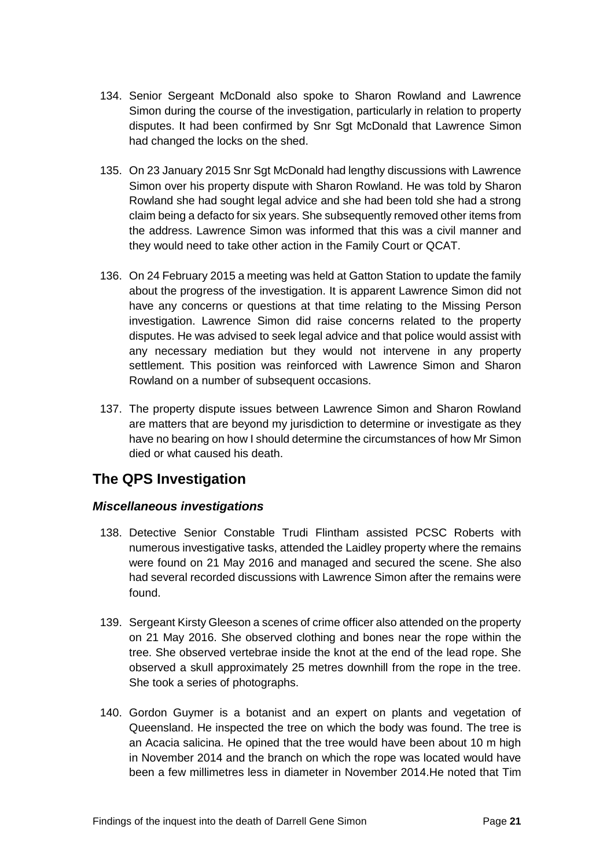- 134. Senior Sergeant McDonald also spoke to Sharon Rowland and Lawrence Simon during the course of the investigation, particularly in relation to property disputes. It had been confirmed by Snr Sgt McDonald that Lawrence Simon had changed the locks on the shed.
- 135. On 23 January 2015 Snr Sgt McDonald had lengthy discussions with Lawrence Simon over his property dispute with Sharon Rowland. He was told by Sharon Rowland she had sought legal advice and she had been told she had a strong claim being a defacto for six years. She subsequently removed other items from the address. Lawrence Simon was informed that this was a civil manner and they would need to take other action in the Family Court or QCAT.
- 136. On 24 February 2015 a meeting was held at Gatton Station to update the family about the progress of the investigation. It is apparent Lawrence Simon did not have any concerns or questions at that time relating to the Missing Person investigation. Lawrence Simon did raise concerns related to the property disputes. He was advised to seek legal advice and that police would assist with any necessary mediation but they would not intervene in any property settlement. This position was reinforced with Lawrence Simon and Sharon Rowland on a number of subsequent occasions.
- 137. The property dispute issues between Lawrence Simon and Sharon Rowland are matters that are beyond my jurisdiction to determine or investigate as they have no bearing on how I should determine the circumstances of how Mr Simon died or what caused his death.

## <span id="page-22-0"></span>**The QPS Investigation**

#### <span id="page-22-1"></span>*Miscellaneous investigations*

- 138. Detective Senior Constable Trudi Flintham assisted PCSC Roberts with numerous investigative tasks, attended the Laidley property where the remains were found on 21 May 2016 and managed and secured the scene. She also had several recorded discussions with Lawrence Simon after the remains were found.
- 139. Sergeant Kirsty Gleeson a scenes of crime officer also attended on the property on 21 May 2016. She observed clothing and bones near the rope within the tree. She observed vertebrae inside the knot at the end of the lead rope. She observed a skull approximately 25 metres downhill from the rope in the tree. She took a series of photographs.
- 140. Gordon Guymer is a botanist and an expert on plants and vegetation of Queensland. He inspected the tree on which the body was found. The tree is an Acacia salicina. He opined that the tree would have been about 10 m high in November 2014 and the branch on which the rope was located would have been a few millimetres less in diameter in November 2014.He noted that Tim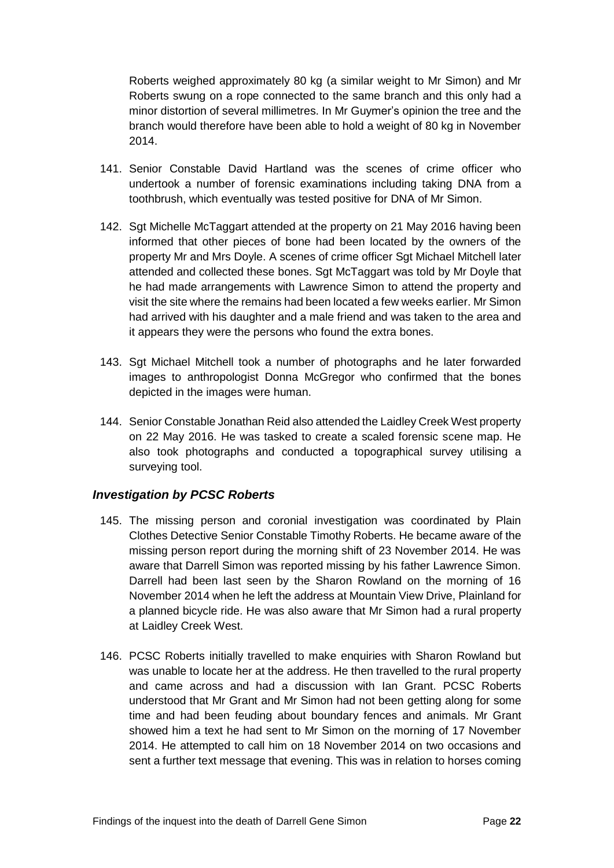Roberts weighed approximately 80 kg (a similar weight to Mr Simon) and Mr Roberts swung on a rope connected to the same branch and this only had a minor distortion of several millimetres. In Mr Guymer's opinion the tree and the branch would therefore have been able to hold a weight of 80 kg in November 2014.

- 141. Senior Constable David Hartland was the scenes of crime officer who undertook a number of forensic examinations including taking DNA from a toothbrush, which eventually was tested positive for DNA of Mr Simon.
- 142. Sgt Michelle McTaggart attended at the property on 21 May 2016 having been informed that other pieces of bone had been located by the owners of the property Mr and Mrs Doyle. A scenes of crime officer Sgt Michael Mitchell later attended and collected these bones. Sgt McTaggart was told by Mr Doyle that he had made arrangements with Lawrence Simon to attend the property and visit the site where the remains had been located a few weeks earlier. Mr Simon had arrived with his daughter and a male friend and was taken to the area and it appears they were the persons who found the extra bones.
- 143. Sgt Michael Mitchell took a number of photographs and he later forwarded images to anthropologist Donna McGregor who confirmed that the bones depicted in the images were human.
- 144. Senior Constable Jonathan Reid also attended the Laidley Creek West property on 22 May 2016. He was tasked to create a scaled forensic scene map. He also took photographs and conducted a topographical survey utilising a surveying tool.

#### <span id="page-23-0"></span>*Investigation by PCSC Roberts*

- 145. The missing person and coronial investigation was coordinated by Plain Clothes Detective Senior Constable Timothy Roberts. He became aware of the missing person report during the morning shift of 23 November 2014. He was aware that Darrell Simon was reported missing by his father Lawrence Simon. Darrell had been last seen by the Sharon Rowland on the morning of 16 November 2014 when he left the address at Mountain View Drive, Plainland for a planned bicycle ride. He was also aware that Mr Simon had a rural property at Laidley Creek West.
- 146. PCSC Roberts initially travelled to make enquiries with Sharon Rowland but was unable to locate her at the address. He then travelled to the rural property and came across and had a discussion with Ian Grant. PCSC Roberts understood that Mr Grant and Mr Simon had not been getting along for some time and had been feuding about boundary fences and animals. Mr Grant showed him a text he had sent to Mr Simon on the morning of 17 November 2014. He attempted to call him on 18 November 2014 on two occasions and sent a further text message that evening. This was in relation to horses coming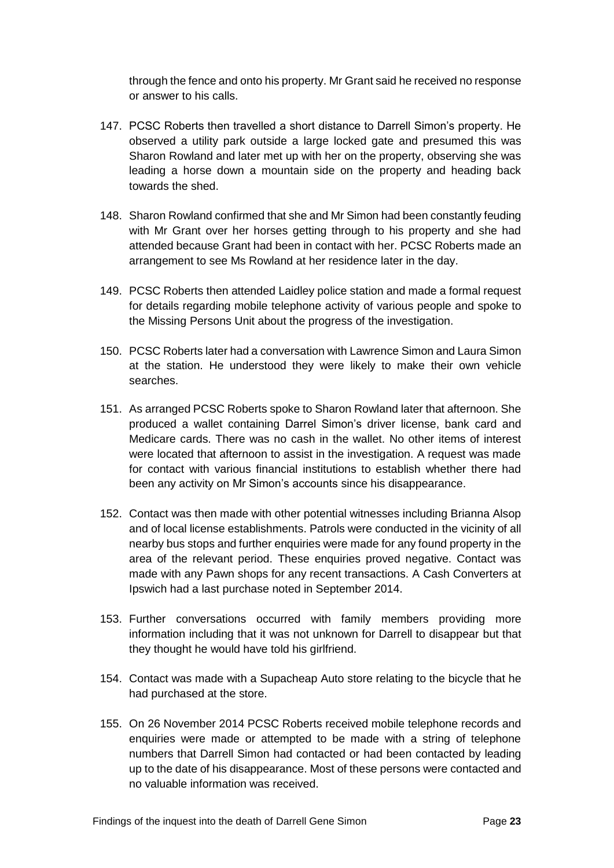through the fence and onto his property. Mr Grant said he received no response or answer to his calls.

- 147. PCSC Roberts then travelled a short distance to Darrell Simon's property. He observed a utility park outside a large locked gate and presumed this was Sharon Rowland and later met up with her on the property, observing she was leading a horse down a mountain side on the property and heading back towards the shed.
- 148. Sharon Rowland confirmed that she and Mr Simon had been constantly feuding with Mr Grant over her horses getting through to his property and she had attended because Grant had been in contact with her. PCSC Roberts made an arrangement to see Ms Rowland at her residence later in the day.
- 149. PCSC Roberts then attended Laidley police station and made a formal request for details regarding mobile telephone activity of various people and spoke to the Missing Persons Unit about the progress of the investigation.
- 150. PCSC Roberts later had a conversation with Lawrence Simon and Laura Simon at the station. He understood they were likely to make their own vehicle searches.
- 151. As arranged PCSC Roberts spoke to Sharon Rowland later that afternoon. She produced a wallet containing Darrel Simon's driver license, bank card and Medicare cards. There was no cash in the wallet. No other items of interest were located that afternoon to assist in the investigation. A request was made for contact with various financial institutions to establish whether there had been any activity on Mr Simon's accounts since his disappearance.
- 152. Contact was then made with other potential witnesses including Brianna Alsop and of local license establishments. Patrols were conducted in the vicinity of all nearby bus stops and further enquiries were made for any found property in the area of the relevant period. These enquiries proved negative. Contact was made with any Pawn shops for any recent transactions. A Cash Converters at Ipswich had a last purchase noted in September 2014.
- 153. Further conversations occurred with family members providing more information including that it was not unknown for Darrell to disappear but that they thought he would have told his girlfriend.
- 154. Contact was made with a Supacheap Auto store relating to the bicycle that he had purchased at the store.
- 155. On 26 November 2014 PCSC Roberts received mobile telephone records and enquiries were made or attempted to be made with a string of telephone numbers that Darrell Simon had contacted or had been contacted by leading up to the date of his disappearance. Most of these persons were contacted and no valuable information was received.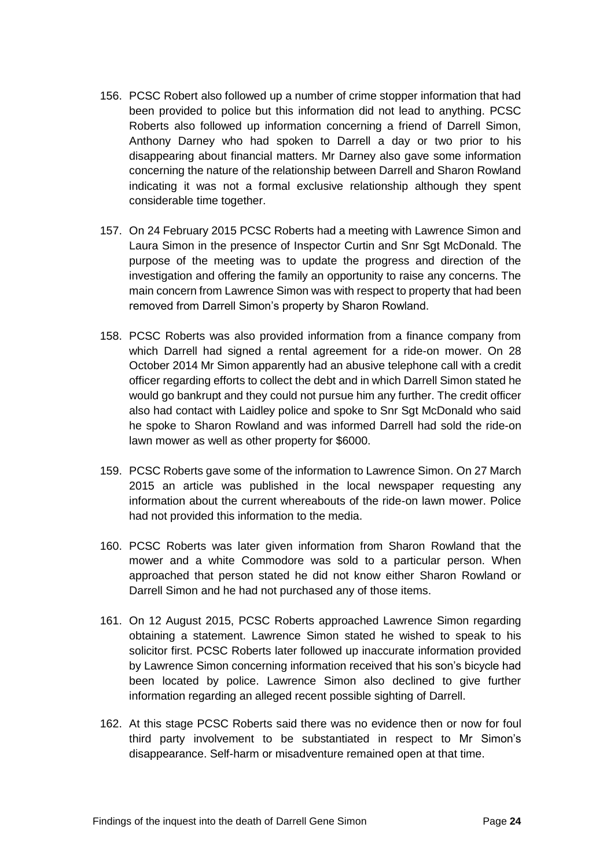- 156. PCSC Robert also followed up a number of crime stopper information that had been provided to police but this information did not lead to anything. PCSC Roberts also followed up information concerning a friend of Darrell Simon, Anthony Darney who had spoken to Darrell a day or two prior to his disappearing about financial matters. Mr Darney also gave some information concerning the nature of the relationship between Darrell and Sharon Rowland indicating it was not a formal exclusive relationship although they spent considerable time together.
- 157. On 24 February 2015 PCSC Roberts had a meeting with Lawrence Simon and Laura Simon in the presence of Inspector Curtin and Snr Sgt McDonald. The purpose of the meeting was to update the progress and direction of the investigation and offering the family an opportunity to raise any concerns. The main concern from Lawrence Simon was with respect to property that had been removed from Darrell Simon's property by Sharon Rowland.
- 158. PCSC Roberts was also provided information from a finance company from which Darrell had signed a rental agreement for a ride-on mower. On 28 October 2014 Mr Simon apparently had an abusive telephone call with a credit officer regarding efforts to collect the debt and in which Darrell Simon stated he would go bankrupt and they could not pursue him any further. The credit officer also had contact with Laidley police and spoke to Snr Sgt McDonald who said he spoke to Sharon Rowland and was informed Darrell had sold the ride-on lawn mower as well as other property for \$6000.
- 159. PCSC Roberts gave some of the information to Lawrence Simon. On 27 March 2015 an article was published in the local newspaper requesting any information about the current whereabouts of the ride-on lawn mower. Police had not provided this information to the media.
- 160. PCSC Roberts was later given information from Sharon Rowland that the mower and a white Commodore was sold to a particular person. When approached that person stated he did not know either Sharon Rowland or Darrell Simon and he had not purchased any of those items.
- 161. On 12 August 2015, PCSC Roberts approached Lawrence Simon regarding obtaining a statement. Lawrence Simon stated he wished to speak to his solicitor first. PCSC Roberts later followed up inaccurate information provided by Lawrence Simon concerning information received that his son's bicycle had been located by police. Lawrence Simon also declined to give further information regarding an alleged recent possible sighting of Darrell.
- 162. At this stage PCSC Roberts said there was no evidence then or now for foul third party involvement to be substantiated in respect to Mr Simon's disappearance. Self-harm or misadventure remained open at that time.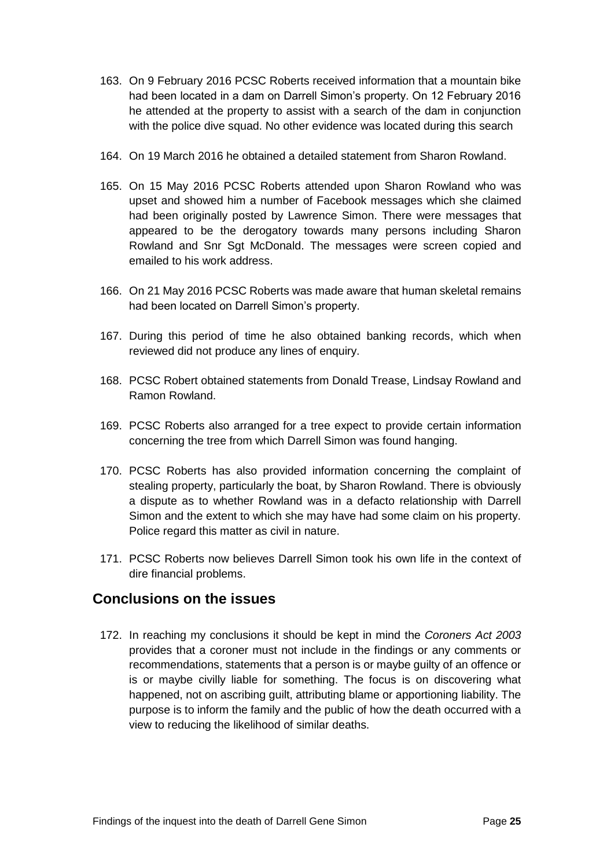- 163. On 9 February 2016 PCSC Roberts received information that a mountain bike had been located in a dam on Darrell Simon's property. On 12 February 2016 he attended at the property to assist with a search of the dam in conjunction with the police dive squad. No other evidence was located during this search
- 164. On 19 March 2016 he obtained a detailed statement from Sharon Rowland.
- 165. On 15 May 2016 PCSC Roberts attended upon Sharon Rowland who was upset and showed him a number of Facebook messages which she claimed had been originally posted by Lawrence Simon. There were messages that appeared to be the derogatory towards many persons including Sharon Rowland and Snr Sgt McDonald. The messages were screen copied and emailed to his work address.
- 166. On 21 May 2016 PCSC Roberts was made aware that human skeletal remains had been located on Darrell Simon's property.
- 167. During this period of time he also obtained banking records, which when reviewed did not produce any lines of enquiry.
- 168. PCSC Robert obtained statements from Donald Trease, Lindsay Rowland and Ramon Rowland.
- 169. PCSC Roberts also arranged for a tree expect to provide certain information concerning the tree from which Darrell Simon was found hanging.
- 170. PCSC Roberts has also provided information concerning the complaint of stealing property, particularly the boat, by Sharon Rowland. There is obviously a dispute as to whether Rowland was in a defacto relationship with Darrell Simon and the extent to which she may have had some claim on his property. Police regard this matter as civil in nature.
- 171. PCSC Roberts now believes Darrell Simon took his own life in the context of dire financial problems.

## <span id="page-26-0"></span>**Conclusions on the issues**

172. In reaching my conclusions it should be kept in mind the *Coroners Act 2003*  provides that a coroner must not include in the findings or any comments or recommendations, statements that a person is or maybe guilty of an offence or is or maybe civilly liable for something. The focus is on discovering what happened, not on ascribing guilt, attributing blame or apportioning liability. The purpose is to inform the family and the public of how the death occurred with a view to reducing the likelihood of similar deaths.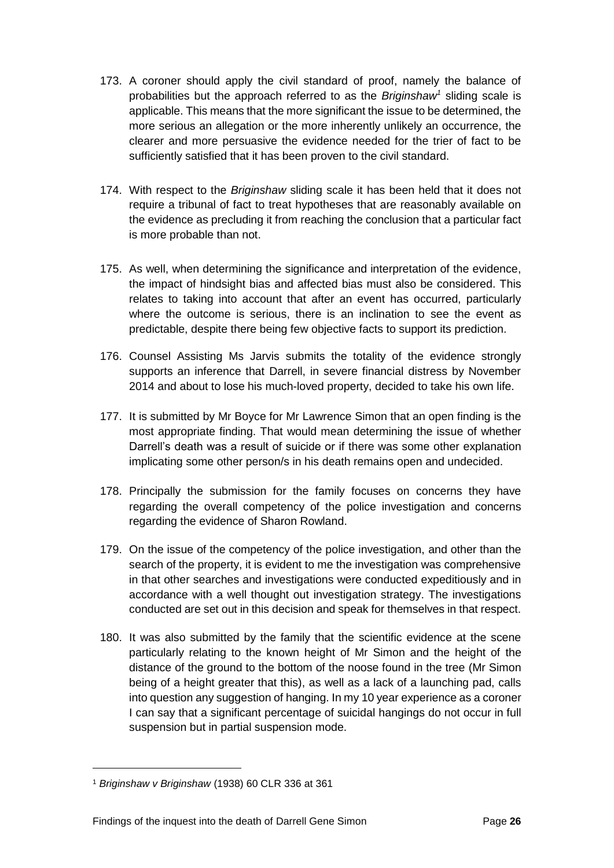- 173. A coroner should apply the civil standard of proof, namely the balance of probabilities but the approach referred to as the *Briginshaw<sup>1</sup>* sliding scale is applicable. This means that the more significant the issue to be determined, the more serious an allegation or the more inherently unlikely an occurrence, the clearer and more persuasive the evidence needed for the trier of fact to be sufficiently satisfied that it has been proven to the civil standard.
- 174. With respect to the *Briginshaw* sliding scale it has been held that it does not require a tribunal of fact to treat hypotheses that are reasonably available on the evidence as precluding it from reaching the conclusion that a particular fact is more probable than not.
- 175. As well, when determining the significance and interpretation of the evidence, the impact of hindsight bias and affected bias must also be considered. This relates to taking into account that after an event has occurred, particularly where the outcome is serious, there is an inclination to see the event as predictable, despite there being few objective facts to support its prediction.
- 176. Counsel Assisting Ms Jarvis submits the totality of the evidence strongly supports an inference that Darrell, in severe financial distress by November 2014 and about to lose his much-loved property, decided to take his own life.
- 177. It is submitted by Mr Boyce for Mr Lawrence Simon that an open finding is the most appropriate finding. That would mean determining the issue of whether Darrell's death was a result of suicide or if there was some other explanation implicating some other person/s in his death remains open and undecided.
- 178. Principally the submission for the family focuses on concerns they have regarding the overall competency of the police investigation and concerns regarding the evidence of Sharon Rowland.
- 179. On the issue of the competency of the police investigation, and other than the search of the property, it is evident to me the investigation was comprehensive in that other searches and investigations were conducted expeditiously and in accordance with a well thought out investigation strategy. The investigations conducted are set out in this decision and speak for themselves in that respect.
- 180. It was also submitted by the family that the scientific evidence at the scene particularly relating to the known height of Mr Simon and the height of the distance of the ground to the bottom of the noose found in the tree (Mr Simon being of a height greater that this), as well as a lack of a launching pad, calls into question any suggestion of hanging. In my 10 year experience as a coroner I can say that a significant percentage of suicidal hangings do not occur in full suspension but in partial suspension mode.

 $\overline{a}$ 

<sup>1</sup> *Briginshaw v Briginshaw* (1938) 60 CLR 336 at 361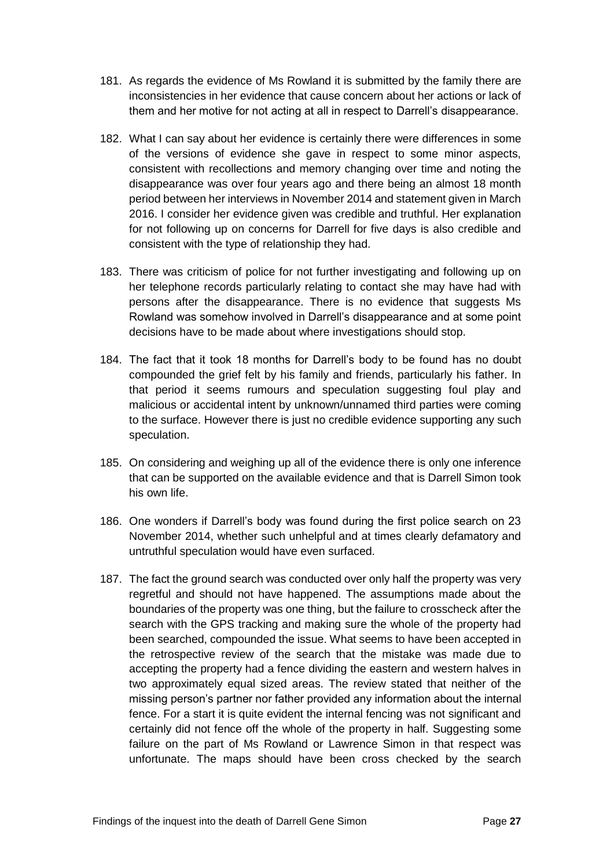- 181. As regards the evidence of Ms Rowland it is submitted by the family there are inconsistencies in her evidence that cause concern about her actions or lack of them and her motive for not acting at all in respect to Darrell's disappearance.
- 182. What I can say about her evidence is certainly there were differences in some of the versions of evidence she gave in respect to some minor aspects, consistent with recollections and memory changing over time and noting the disappearance was over four years ago and there being an almost 18 month period between her interviews in November 2014 and statement given in March 2016. I consider her evidence given was credible and truthful. Her explanation for not following up on concerns for Darrell for five days is also credible and consistent with the type of relationship they had.
- 183. There was criticism of police for not further investigating and following up on her telephone records particularly relating to contact she may have had with persons after the disappearance. There is no evidence that suggests Ms Rowland was somehow involved in Darrell's disappearance and at some point decisions have to be made about where investigations should stop.
- 184. The fact that it took 18 months for Darrell's body to be found has no doubt compounded the grief felt by his family and friends, particularly his father. In that period it seems rumours and speculation suggesting foul play and malicious or accidental intent by unknown/unnamed third parties were coming to the surface. However there is just no credible evidence supporting any such speculation.
- 185. On considering and weighing up all of the evidence there is only one inference that can be supported on the available evidence and that is Darrell Simon took his own life.
- 186. One wonders if Darrell's body was found during the first police search on 23 November 2014, whether such unhelpful and at times clearly defamatory and untruthful speculation would have even surfaced.
- 187. The fact the ground search was conducted over only half the property was very regretful and should not have happened. The assumptions made about the boundaries of the property was one thing, but the failure to crosscheck after the search with the GPS tracking and making sure the whole of the property had been searched, compounded the issue. What seems to have been accepted in the retrospective review of the search that the mistake was made due to accepting the property had a fence dividing the eastern and western halves in two approximately equal sized areas. The review stated that neither of the missing person's partner nor father provided any information about the internal fence. For a start it is quite evident the internal fencing was not significant and certainly did not fence off the whole of the property in half. Suggesting some failure on the part of Ms Rowland or Lawrence Simon in that respect was unfortunate. The maps should have been cross checked by the search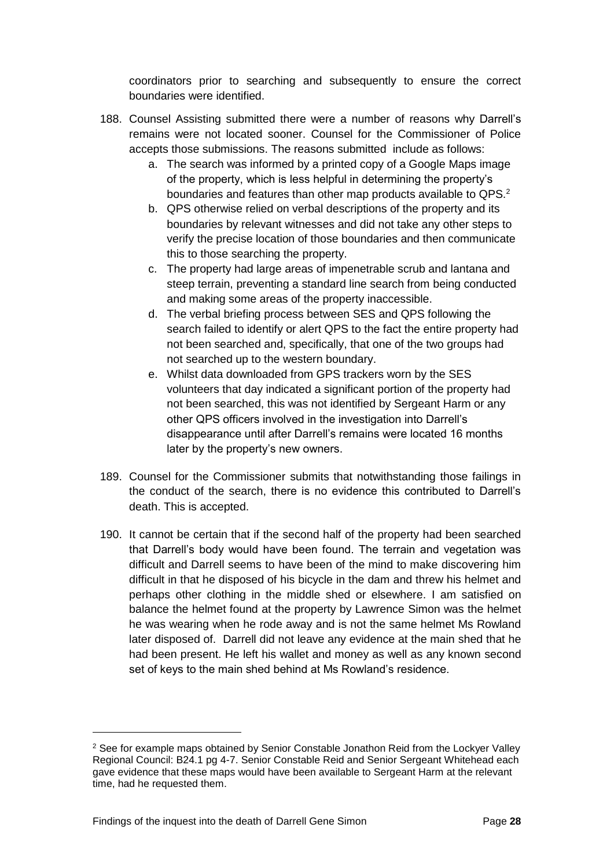coordinators prior to searching and subsequently to ensure the correct boundaries were identified.

- 188. Counsel Assisting submitted there were a number of reasons why Darrell's remains were not located sooner. Counsel for the Commissioner of Police accepts those submissions. The reasons submitted include as follows:
	- a. The search was informed by a printed copy of a Google Maps image of the property, which is less helpful in determining the property's boundaries and features than other map products available to QPS.<sup>2</sup>
	- b. QPS otherwise relied on verbal descriptions of the property and its boundaries by relevant witnesses and did not take any other steps to verify the precise location of those boundaries and then communicate this to those searching the property.
	- c. The property had large areas of impenetrable scrub and lantana and steep terrain, preventing a standard line search from being conducted and making some areas of the property inaccessible.
	- d. The verbal briefing process between SES and QPS following the search failed to identify or alert QPS to the fact the entire property had not been searched and, specifically, that one of the two groups had not searched up to the western boundary.
	- e. Whilst data downloaded from GPS trackers worn by the SES volunteers that day indicated a significant portion of the property had not been searched, this was not identified by Sergeant Harm or any other QPS officers involved in the investigation into Darrell's disappearance until after Darrell's remains were located 16 months later by the property's new owners.
- 189. Counsel for the Commissioner submits that notwithstanding those failings in the conduct of the search, there is no evidence this contributed to Darrell's death. This is accepted.
- 190. It cannot be certain that if the second half of the property had been searched that Darrell's body would have been found. The terrain and vegetation was difficult and Darrell seems to have been of the mind to make discovering him difficult in that he disposed of his bicycle in the dam and threw his helmet and perhaps other clothing in the middle shed or elsewhere. I am satisfied on balance the helmet found at the property by Lawrence Simon was the helmet he was wearing when he rode away and is not the same helmet Ms Rowland later disposed of. Darrell did not leave any evidence at the main shed that he had been present. He left his wallet and money as well as any known second set of keys to the main shed behind at Ms Rowland's residence.

l

<sup>&</sup>lt;sup>2</sup> See for example maps obtained by Senior Constable Jonathon Reid from the Lockyer Valley Regional Council: B24.1 pg 4-7. Senior Constable Reid and Senior Sergeant Whitehead each gave evidence that these maps would have been available to Sergeant Harm at the relevant time, had he requested them.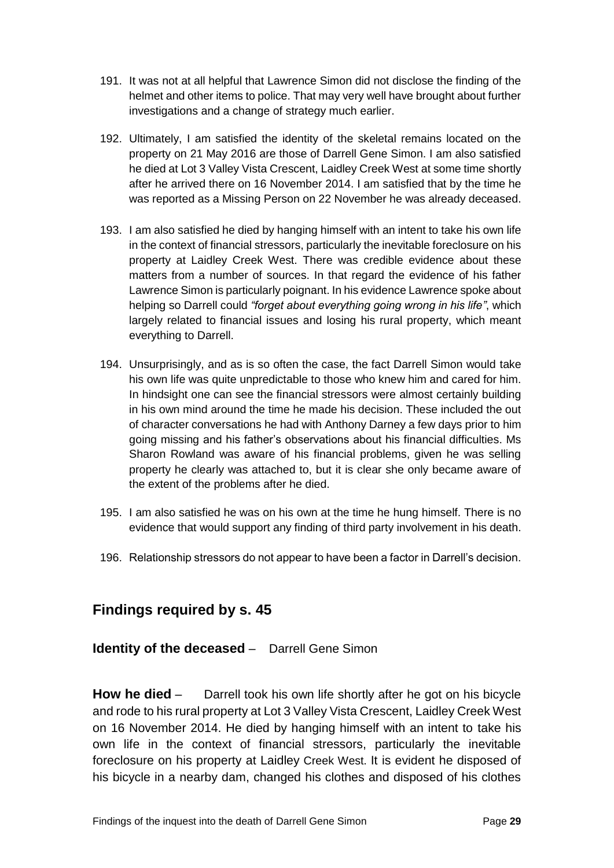- 191. It was not at all helpful that Lawrence Simon did not disclose the finding of the helmet and other items to police. That may very well have brought about further investigations and a change of strategy much earlier.
- 192. Ultimately, I am satisfied the identity of the skeletal remains located on the property on 21 May 2016 are those of Darrell Gene Simon. I am also satisfied he died at Lot 3 Valley Vista Crescent, Laidley Creek West at some time shortly after he arrived there on 16 November 2014. I am satisfied that by the time he was reported as a Missing Person on 22 November he was already deceased.
- 193. I am also satisfied he died by hanging himself with an intent to take his own life in the context of financial stressors, particularly the inevitable foreclosure on his property at Laidley Creek West. There was credible evidence about these matters from a number of sources. In that regard the evidence of his father Lawrence Simon is particularly poignant. In his evidence Lawrence spoke about helping so Darrell could *"forget about everything going wrong in his life"*, which largely related to financial issues and losing his rural property, which meant everything to Darrell.
- 194. Unsurprisingly, and as is so often the case, the fact Darrell Simon would take his own life was quite unpredictable to those who knew him and cared for him. In hindsight one can see the financial stressors were almost certainly building in his own mind around the time he made his decision. These included the out of character conversations he had with Anthony Darney a few days prior to him going missing and his father's observations about his financial difficulties. Ms Sharon Rowland was aware of his financial problems, given he was selling property he clearly was attached to, but it is clear she only became aware of the extent of the problems after he died.
- 195. I am also satisfied he was on his own at the time he hung himself. There is no evidence that would support any finding of third party involvement in his death.
- 196. Relationship stressors do not appear to have been a factor in Darrell's decision.

## <span id="page-30-0"></span>**Findings required by s. 45**

<span id="page-30-1"></span>**Identity of the deceased** – Darrell Gene Simon

<span id="page-30-2"></span>**How he died** – Darrell took his own life shortly after he got on his bicycle and rode to his rural property at Lot 3 Valley Vista Crescent, Laidley Creek West on 16 November 2014. He died by hanging himself with an intent to take his own life in the context of financial stressors, particularly the inevitable foreclosure on his property at Laidley Creek West. It is evident he disposed of his bicycle in a nearby dam, changed his clothes and disposed of his clothes